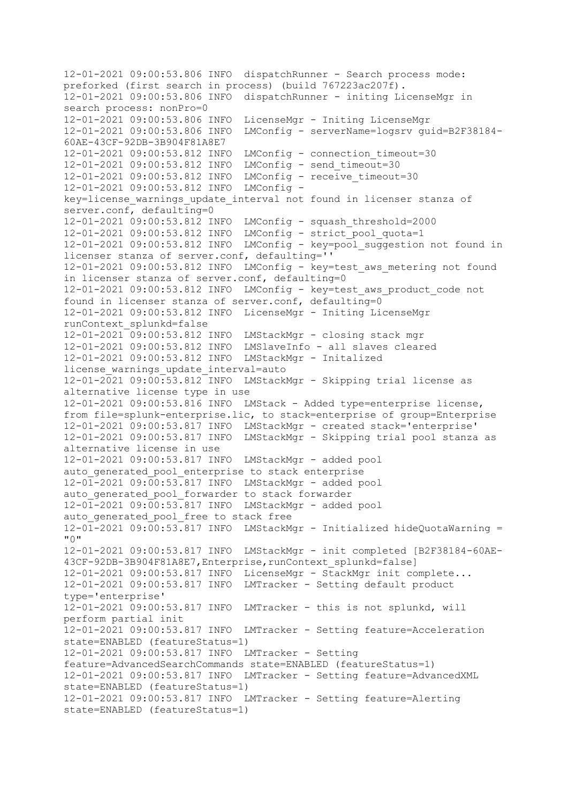12-01-2021 09:00:53.806 INFO dispatchRunner - Search process mode: preforked (first search in process) (build 767223ac207f). 12-01-2021 09:00:53.806 INFO dispatchRunner - initing LicenseMgr in search process: nonPro=0 12-01-2021 09:00:53.806 INFO LicenseMgr - Initing LicenseMgr 12-01-2021 09:00:53.806 INFO LMConfig - serverName=logsrv guid=B2F38184- 60AE-43CF-92DB-3B904F81A8E7 12-01-2021 09:00:53.812 INFO LMConfig - connection\_timeout=30 12-01-2021 09:00:53.812 INFO LMConfig - send\_timeout=30 12-01-2021 09:00:53.812 INFO LMConfig - receive\_timeout=30 12-01-2021 09:00:53.812 INFO LMConfig key=license\_warnings\_update\_interval not found in licenser stanza of server.conf, defaulting=0 12-01-2021 09:00:53.812 INFO LMConfig - squash\_threshold=2000 12-01-2021 09:00:53.812 INFO LMConfig - strict\_pool\_quota=1 12-01-2021 09:00:53.812 INFO LMConfig - key=pool\_suggestion not found in licenser stanza of server.conf, defaulting='' 12-01-2021 09:00:53.812 INFO LMConfig - key=test\_aws\_metering not found in licenser stanza of server.conf, defaulting=0 12-01-2021 09:00:53.812 INFO LMConfig - key=test\_aws\_product\_code not found in licenser stanza of server.conf, defaulting=0 12-01-2021 09:00:53.812 INFO LicenseMgr - Initing LicenseMgr runContext\_splunkd=false 12-01-2021 09:00:53.812 INFO LMStackMgr - closing stack mgr 12-01-2021 09:00:53.812 INFO LMSlaveInfo - all slaves cleared 12-01-2021 09:00:53.812 INFO LMStackMgr - Initalized license\_warnings\_update\_interval=auto 12-01-2021 09:00:53.812 INFO LMStackMgr - Skipping trial license as alternative license type in use 12-01-2021 09:00:53.816 INFO LMStack - Added type=enterprise license, from file=splunk-enterprise.lic, to stack=enterprise of group=Enterprise 12-01-2021 09:00:53.817 INFO LMStackMgr - created stack='enterprise' 12-01-2021 09:00:53.817 INFO LMStackMgr - Skipping trial pool stanza as alternative license in use 12-01-2021 09:00:53.817 INFO LMStackMgr - added pool auto\_generated\_pool\_enterprise to stack enterprise 12-01-2021 09:00:53.817 INFO LMStackMgr - added pool auto generated pool forwarder to stack forwarder 12-01-2021 09:00:53.817 INFO LMStackMgr - added pool auto generated pool free to stack free  $12-01-2021$  09: $\overline{00:}53.817$  INFO LMStackMgr - Initialized hideQuotaWarning = "0" 12-01-2021 09:00:53.817 INFO LMStackMgr - init completed [B2F38184-60AE-43CF-92DB-3B904F81A8E7,Enterprise,runContext\_splunkd=false] 12-01-2021 09:00:53.817 INFO LicenseMgr - StackMgr init complete... 12-01-2021 09:00:53.817 INFO LMTracker - Setting default product type='enterprise' 12-01-2021 09:00:53.817 INFO LMTracker - this is not splunkd, will perform partial init 12-01-2021 09:00:53.817 INFO LMTracker - Setting feature=Acceleration state=ENABLED (featureStatus=1) 12-01-2021 09:00:53.817 INFO LMTracker - Setting feature=AdvancedSearchCommands state=ENABLED (featureStatus=1) 12-01-2021 09:00:53.817 INFO LMTracker - Setting feature=AdvancedXML state=ENABLED (featureStatus=1) 12-01-2021 09:00:53.817 INFO LMTracker - Setting feature=Alerting state=ENABLED (featureStatus=1)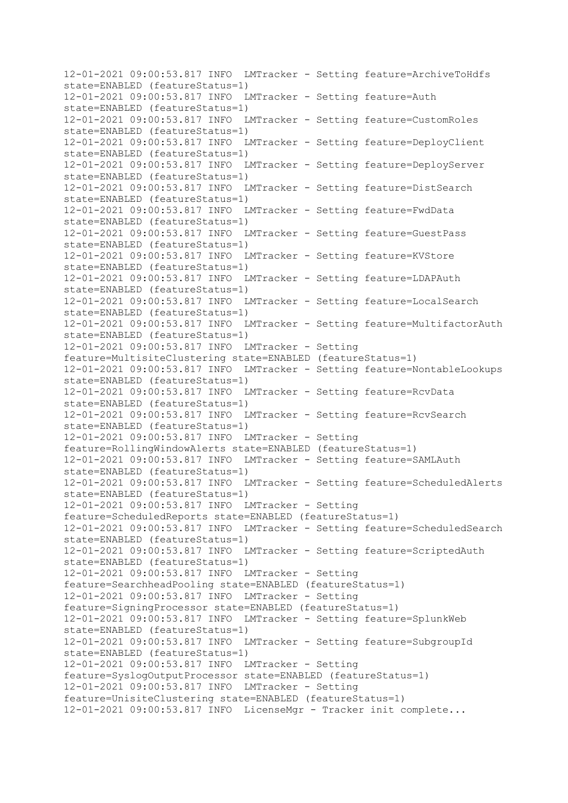12-01-2021 09:00:53.817 INFO LMTracker - Setting feature=ArchiveToHdfs state=ENABLED (featureStatus=1) 12-01-2021 09:00:53.817 INFO LMTracker - Setting feature=Auth state=ENABLED (featureStatus=1) 12-01-2021 09:00:53.817 INFO LMTracker - Setting feature=CustomRoles state=ENABLED (featureStatus=1) 12-01-2021 09:00:53.817 INFO LMTracker - Setting feature=DeployClient state=ENABLED (featureStatus=1) 12-01-2021 09:00:53.817 INFO LMTracker - Setting feature=DeployServer state=ENABLED (featureStatus=1) 12-01-2021 09:00:53.817 INFO LMTracker - Setting feature=DistSearch state=ENABLED (featureStatus=1) 12-01-2021 09:00:53.817 INFO LMTracker - Setting feature=FwdData state=ENABLED (featureStatus=1) 12-01-2021 09:00:53.817 INFO LMTracker - Setting feature=GuestPass state=ENABLED (featureStatus=1) 12-01-2021 09:00:53.817 INFO LMTracker - Setting feature=KVStore state=ENABLED (featureStatus=1) 12-01-2021 09:00:53.817 INFO LMTracker - Setting feature=LDAPAuth state=ENABLED (featureStatus=1) 12-01-2021 09:00:53.817 INFO LMTracker - Setting feature=LocalSearch state=ENABLED (featureStatus=1) 12-01-2021 09:00:53.817 INFO LMTracker - Setting feature=MultifactorAuth state=ENABLED (featureStatus=1) 12-01-2021 09:00:53.817 INFO LMTracker - Setting feature=MultisiteClustering state=ENABLED (featureStatus=1) 12-01-2021 09:00:53.817 INFO LMTracker - Setting feature=NontableLookups state=ENABLED (featureStatus=1) 12-01-2021 09:00:53.817 INFO LMTracker - Setting feature=RcvData state=ENABLED (featureStatus=1) 12-01-2021 09:00:53.817 INFO LMTracker - Setting feature=RcvSearch state=ENABLED (featureStatus=1) 12-01-2021 09:00:53.817 INFO LMTracker - Setting feature=RollingWindowAlerts state=ENABLED (featureStatus=1) 12-01-2021 09:00:53.817 INFO LMTracker - Setting feature=SAMLAuth state=ENABLED (featureStatus=1) 12-01-2021 09:00:53.817 INFO LMTracker - Setting feature=ScheduledAlerts state=ENABLED (featureStatus=1) 12-01-2021 09:00:53.817 INFO LMTracker - Setting feature=ScheduledReports state=ENABLED (featureStatus=1) 12-01-2021 09:00:53.817 INFO LMTracker - Setting feature=ScheduledSearch state=ENABLED (featureStatus=1) 12-01-2021 09:00:53.817 INFO LMTracker - Setting feature=ScriptedAuth state=ENABLED (featureStatus=1) 12-01-2021 09:00:53.817 INFO LMTracker - Setting feature=SearchheadPooling state=ENABLED (featureStatus=1) 12-01-2021 09:00:53.817 INFO LMTracker - Setting feature=SigningProcessor state=ENABLED (featureStatus=1) 12-01-2021 09:00:53.817 INFO LMTracker - Setting feature=SplunkWeb state=ENABLED (featureStatus=1) 12-01-2021 09:00:53.817 INFO LMTracker - Setting feature=SubgroupId state=ENABLED (featureStatus=1) 12-01-2021 09:00:53.817 INFO LMTracker - Setting feature=SyslogOutputProcessor state=ENABLED (featureStatus=1) 12-01-2021 09:00:53.817 INFO LMTracker - Setting feature=UnisiteClustering state=ENABLED (featureStatus=1) 12-01-2021 09:00:53.817 INFO LicenseMgr - Tracker init complete...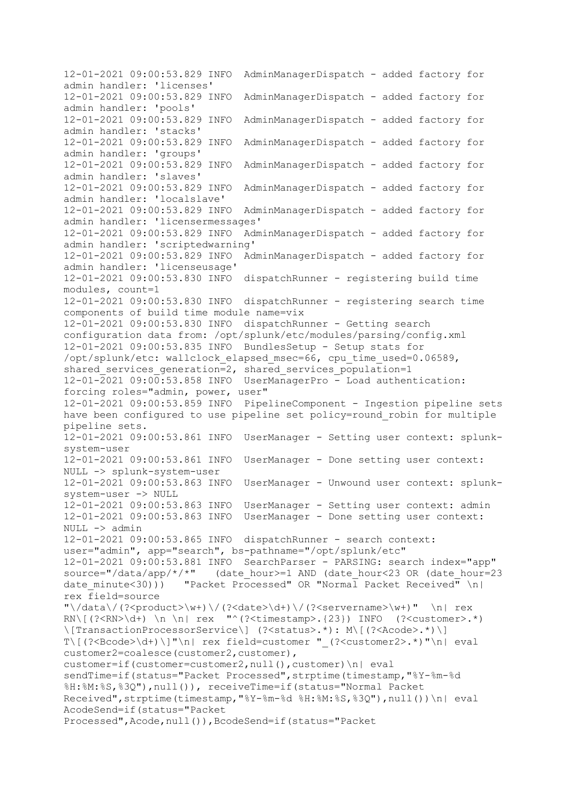12-01-2021 09:00:53.829 INFO AdminManagerDispatch - added factory for admin handler: 'licenses' 12-01-2021 09:00:53.829 INFO AdminManagerDispatch - added factory for admin handler: 'pools' 12-01-2021 09:00:53.829 INFO AdminManagerDispatch - added factory for admin handler: 'stacks' 12-01-2021 09:00:53.829 INFO AdminManagerDispatch - added factory for admin handler: 'groups' 12-01-2021 09:00:53.829 INFO AdminManagerDispatch - added factory for admin handler: 'slaves' 12-01-2021 09:00:53.829 INFO AdminManagerDispatch - added factory for admin handler: 'localslave' 12-01-2021 09:00:53.829 INFO AdminManagerDispatch - added factory for admin handler: 'licensermessages' 12-01-2021 09:00:53.829 INFO AdminManagerDispatch - added factory for admin handler: 'scriptedwarning' 12-01-2021 09:00:53.829 INFO AdminManagerDispatch - added factory for admin handler: 'licenseusage' 12-01-2021 09:00:53.830 INFO dispatchRunner - registering build time modules, count=1 12-01-2021 09:00:53.830 INFO dispatchRunner - registering search time components of build time module name=vix 12-01-2021 09:00:53.830 INFO dispatchRunner - Getting search configuration data from: /opt/splunk/etc/modules/parsing/config.xml 12-01-2021 09:00:53.835 INFO BundlesSetup - Setup stats for /opt/splunk/etc: wallclock\_elapsed\_msec=66, cpu\_time\_used=0.06589, shared\_services\_generation=2, shared\_services\_population=1  $12-01-2021$   $09:00:53.858$  INFO UserManagerPro  $-$  Load authentication: forcing roles="admin, power, user" 12-01-2021 09:00:53.859 INFO PipelineComponent - Ingestion pipeline sets have been configured to use pipeline set policy=round robin for multiple pipeline sets. 12-01-2021 09:00:53.861 INFO UserManager - Setting user context: splunksystem-user 12-01-2021 09:00:53.861 INFO UserManager - Done setting user context: NULL -> splunk-system-user 12-01-2021 09:00:53.863 INFO UserManager - Unwound user context: splunksystem-user -> NULL 12-01-2021 09:00:53.863 INFO UserManager - Setting user context: admin 12-01-2021 09:00:53.863 INFO UserManager - Done setting user context: NULL -> admin 12-01-2021 09:00:53.865 INFO dispatchRunner - search context: user="admin", app="search", bs-pathname="/opt/splunk/etc" 12-01-2021 09:00:53.881 INFO SearchParser - PARSING: search index="app" source="/data/app/\*/\*" (date\_hour>=1 AND (date\_hour<23 OR (date\_hour=23 date minute<30))) "Packet Processed" OR "Normal Packet Received"  $\n \n \begin{bmatrix}\n 2 \\
 0\n \end{bmatrix}$ rex field=source  $"\setminus /data\setminus$  (?<product>\w+)\/(?<date>\d+)\/(?<servername>\w+)" \n| rex RN\[(?<RN>\d+) \n \n| rex "^(?<timestamp>.{23}) INFO (?<customer>.\*) \[TransactionProcessorService\] (?<status>.\*): M\[(?<Acode>.\*)\]  $T\left($  (?<Bcode>\d+) \]"\n| rex field=customer " (?<customer2>.\*)"\n| eval customer2=coalesce(customer2,customer), customer=if(customer=customer2,null(),customer)\n| eval sendTime=if(status="Packet Processed", strptime(timestamp, "%Y-%m-%d %H:%M:%S,%3Q"),null()), receiveTime=if(status="Normal Packet Received", strptime(timestamp,"%Y-%m-%d %H:%M:%S,%3Q"),null())\n| eval AcodeSend=if(status="Packet Processed",Acode,null()),BcodeSend=if(status="Packet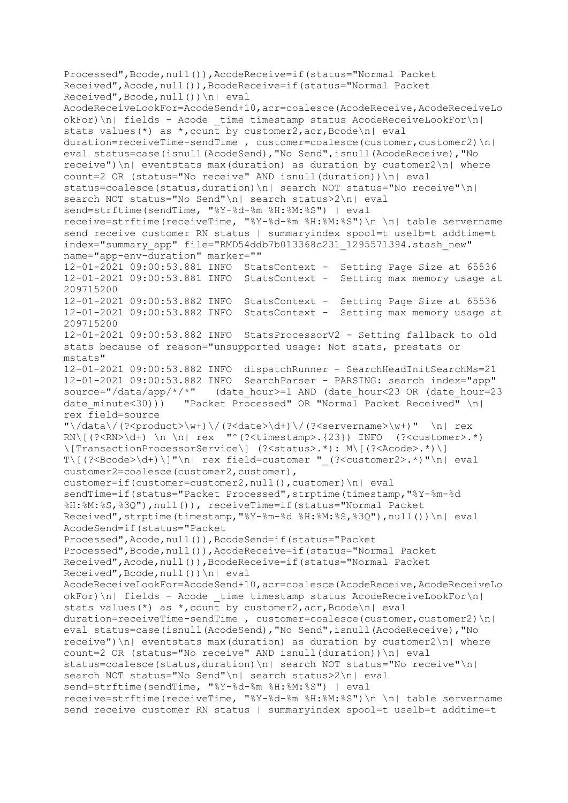Processed",Bcode,null()),AcodeReceive=if(status="Normal Packet Received",Acode,null()),BcodeReceive=if(status="Normal Packet Received",Bcode,null())\n| eval AcodeReceiveLookFor=AcodeSend+10,acr=coalesce(AcodeReceive,AcodeReceiveLo okFor)\n| fields - Acode \_time timestamp status AcodeReceiveLookFor\n| stats values(\*) as \*, count by customer2, acr, Bcode\n| eval  $duration=receiverTime-sendTime$ , customer=coalesce(customer,customer2)\n| eval status=case(isnull(AcodeSend),"No Send",isnull(AcodeReceive),"No  $r$ eceive") $n$ | eventstats max(duration) as duration by customer2 $n$ | where count=2 OR (status="No receive" AND isnull(duration))\n| eval status=coalesce(status,duration)\n| search NOT status="No receive"\n| search NOT status="No Send"\n| search status>2\n| eval send=strftime(sendTime, "%Y-%d-%m %H:%M:%S") | eval receive=strftime(receiveTime, "%Y-%d-%m %H:%M:%S")\n \n| table servername send receive customer RN status | summaryindex spool=t uselb=t addtime=t index="summary app" file="RMD54ddb7b013368c231 1295571394.stash new" name="app-env-duration" marker="" 12-01-2021 09:00:53.881 INFO StatsContext - Setting Page Size at 65536 12-01-2021 09:00:53.881 INFO StatsContext - Setting max memory usage at 209715200 12-01-2021 09:00:53.882 INFO StatsContext - Setting Page Size at 65536 12-01-2021 09:00:53.882 INFO StatsContext - Setting max memory usage at 209715200 12-01-2021 09:00:53.882 INFO StatsProcessorV2 - Setting fallback to old stats because of reason="unsupported usage: Not stats, prestats or mstats" 12-01-2021 09:00:53.882 INFO dispatchRunner - SearchHeadInitSearchMs=21 12-01-2021 09:00:53.882 INFO SearchParser - PARSING: search index="app" source="/data/app/\*/\*" (date\_hour>=1 AND (date\_hour<23 OR (date\_hour=23 date minute<30))) "Packet Processed" OR "Normal Packet Received" \n| rex field=source  $"\backslash /data\backslash /(?$  <product>\w+)\/(?<date>\d+)\/(?<servername>\w+)" \n| rex  $RN\left(\frac{?}{RN}\d+\right) \n\vert \nu \vert$  rex "^(?<timestamp>.{23}) INFO (?<customer>.\*) \[TransactionProcessorService\] (?<status>.\*): M\[(?<Acode>.\*)\] T\[(?<Bcode>\d+)\]"\n| rex field=customer "\_(?<customer2>.\*)"\n| eval customer2=coalesce(customer2,customer), customer=if(customer=customer2,null(),customer)\n| eval sendTime=if(status="Packet Processed",strptime(timestamp,"%Y-%m-%d %H:%M:%S,%3Q"),null()), receiveTime=if(status="Normal Packet Received", strptime(timestamp, "%Y-%m-%d %H:%M:%S, %3Q"),null())\n| eval AcodeSend=if(status="Packet Processed",Acode,null()),BcodeSend=if(status="Packet Processed", Bcode, null()), AcodeReceive=if(status="Normal Packet Received",Acode,null()),BcodeReceive=if(status="Normal Packet Received",Bcode,null())\n| eval AcodeReceiveLookFor=AcodeSend+10,acr=coalesce(AcodeReceive,AcodeReceiveLo  $okFor) \n\infty$  fields - Acode time timestamp status AcodeReceiveLookFor $\n\infty$ stats values(\*) as \*, count by customer2,  $\text{acc}, \text{Bcode}\n$ | eval duration=receiveTime-sendTime , customer=coalesce(customer,customer2)\n| eval status=case(isnull(AcodeSend),"No Send",isnull(AcodeReceive),"No receive")\n| eventstats max(duration) as duration by customer2\n| where count=2 OR (status="No receive" AND isnull(duration))\n| eval status=coalesce(status,duration)\n| search NOT status="No receive"\n| search NOT status="No Send"\n| search status>2\n| eval send=strftime(sendTime, "%Y-%d-%m %H:%M:%S") | eval receive=strftime(receiveTime, "%Y-%d-%m %H:%M:%S")\n \n| table servername send receive customer RN status | summaryindex spool=t uselb=t addtime=t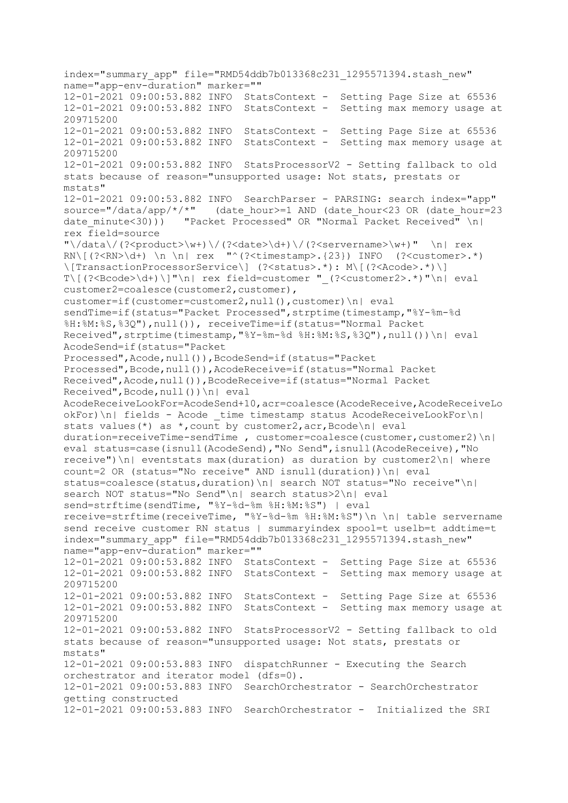index="summary\_app" file="RMD54ddb7b013368c231\_1295571394.stash\_new" name="app-env-duration" marker="" 12-01-2021 09:00:53.882 INFO StatsContext - Setting Page Size at 65536 12-01-2021 09:00:53.882 INFO StatsContext - Setting max memory usage at 209715200 12-01-2021 09:00:53.882 INFO StatsContext - Setting Page Size at 65536 12-01-2021 09:00:53.882 INFO StatsContext - Setting max memory usage at 209715200 12-01-2021 09:00:53.882 INFO StatsProcessorV2 - Setting fallback to old stats because of reason="unsupported usage: Not stats, prestats or mstats" 12-01-2021 09:00:53.882 INFO SearchParser - PARSING: search index="app" source="/data/app/\*/\*" (date\_hour>=1 AND (date\_hour<23 OR (date\_hour=23 date minute<30))) "Packet Processed" OR "Normal Packet Received"  $\n\| \$ rex field=source "\/data\/(?<product>\w+)\/(?<date>\d+)\/(?<servername>\w+)" \n| rex RN\[(?<RN>\d+) \n \n| rex "^(?<timestamp>.{23}) INFO (?<customer>.\*) \[TransactionProcessorService\] (?<status>.\*): M\[(?<Acode>.\*)\] T\[(?<Bcode>\d+)\]"\n| rex field=customer " (?<customer2>.\*)"\n| eval customer2=coalesce(customer2, customer), customer=if(customer=customer2,null(),customer)\n| eval sendTime=if(status="Packet Processed",strptime(timestamp,"%Y-%m-%d %H:%M:%S,%3Q"),null()), receiveTime=if(status="Normal Packet Received", strptime(timestamp, "%Y-%m-%d %H:%M:%S, %3Q"),null())\n| eval AcodeSend=if(status="Packet Processed",Acode,null()),BcodeSend=if(status="Packet Processed",Bcode,null()),AcodeReceive=if(status="Normal Packet Received",Acode,null()),BcodeReceive=if(status="Normal Packet Received",Bcode,null())\n| eval AcodeReceiveLookFor=AcodeSend+10,acr=coalesce(AcodeReceive,AcodeReceiveLo  $o$ kFor)\n| fields - Acode time timestamp status AcodeReceiveLookFor\n| stats values(\*) as \*, count by customer2, acr, Bcode\n| eval duration=receiveTime-sendTime , customer=coalesce(customer,customer2)\n| eval status=case(isnull(AcodeSend),"No Send",isnull(AcodeReceive),"No  $r$ eceive") $n$ | eventstats max(duration) as duration by customer2 $n$ | where count=2 OR (status="No receive" AND isnull(duration))\n| eval status=coalesce(status,duration)\n| search NOT status="No receive"\n| search NOT status="No Send"\n| search status>2\n| eval send=strftime(sendTime, "%Y-%d-%m %H:%M:%S") | eval receive=strftime(receiveTime, "%Y-%d-%m %H:%M:%S")\n \n| table servername send receive customer RN status | summaryindex spool=t uselb=t addtime=t index="summary\_app" file="RMD54ddb7b013368c231\_1295571394.stash\_new" name="app-env-duration" marker="" 12-01-2021 09:00:53.882 INFO StatsContext - Setting Page Size at 65536 12-01-2021 09:00:53.882 INFO StatsContext - Setting max memory usage at 209715200 12-01-2021 09:00:53.882 INFO StatsContext - Setting Page Size at 65536 12-01-2021 09:00:53.882 INFO StatsContext - Setting max memory usage at 209715200 12-01-2021 09:00:53.882 INFO StatsProcessorV2 - Setting fallback to old stats because of reason="unsupported usage: Not stats, prestats or mstats" 12-01-2021 09:00:53.883 INFO dispatchRunner - Executing the Search orchestrator and iterator model (dfs=0). 12-01-2021 09:00:53.883 INFO SearchOrchestrator - SearchOrchestrator getting constructed 12-01-2021 09:00:53.883 INFO SearchOrchestrator - Initialized the SRI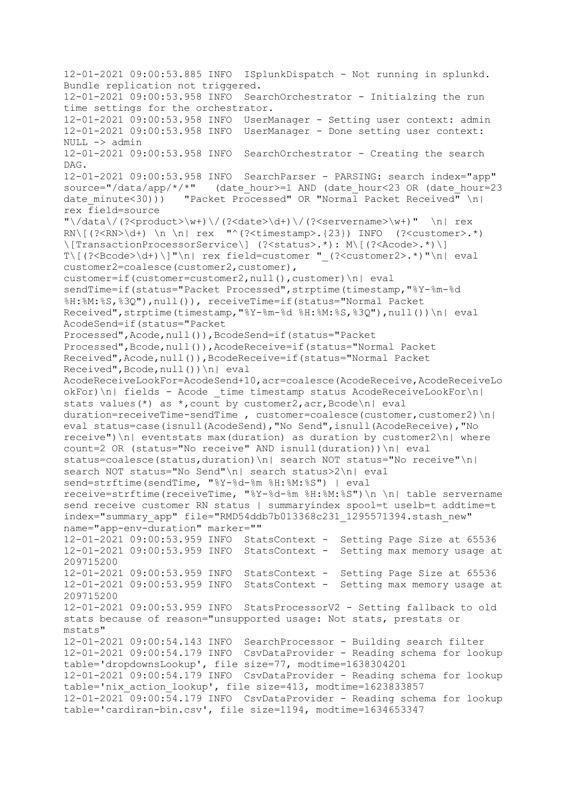12-01-2021 09:00:53.885 INFO ISplunkDispatch - Not running in splunkd. Bundle replication not triggered. 12-01-2021 09:00:53.958 INFO SearchOrchestrator - Initialzing the run time settings for the orchestrator. 12-01-2021 09:00:53.958 INFO UserManager - Setting user context: admin 12-01-2021 09:00:53.958 INFO UserManager - Done setting user context: NULL -> admin 12-01-2021 09:00:53.958 INFO SearchOrchestrator - Creating the search DAG. 12-01-2021 09:00:53.958 INFO SearchParser - PARSING: search index="app" source="/data/app/\*/\*" (date\_hour>=1 AND (date\_hour<23 OR (date\_hour=23 date minute<30))) "Packet Processed" OR "Normal Packet Received" \n| rex field=source  $"\setminus /data\setminus$  (?<product>\w+)\/(?<date>\d+)\/(?<servername>\w+)" \n| rex  $RN\left[\left(?\right]\right]\$  \n \n| rex "^(?<timestamp>.{23}) INFO (?<customer>.\*) \[TransactionProcessorService\] (?<status>.\*): M\[(?<Acode>.\*)\]  $T\left(\frac{?}{\text{Cocode}}\d+)\right]''\n\leq r$  rex field=customer "  $?$ <customer2>.\*)"\n| eval customer2=coalesce(customer2,customer), customer=if(customer=customer2,null(),customer)\n| eval sendTime=if(status="Packet Processed", strptime(timestamp, "%Y-%m-%d %H:%M:%S,%3Q"),null()), receiveTime=if(status="Normal Packet Received", strptime(timestamp, "%Y-%m-%d %H:%M:%S, %3Q"),null())\n| eval AcodeSend=if(status="Packet Processed",Acode,null()),BcodeSend=if(status="Packet Processed",Bcode,null()),AcodeReceive=if(status="Normal Packet Received",Acode,null()),BcodeReceive=if(status="Normal Packet Received",Bcode,null())\n| eval AcodeReceiveLookFor=AcodeSend+10,acr=coalesce(AcodeReceive,AcodeReceiveLo okFor)\n| fields - Acode \_time timestamp status AcodeReceiveLookFor\n| stats values(\*) as \*, count by customer2,  $\text{acc}, \text{Bcode}\n$ | eval duration=receiveTime-sendTime , customer=coalesce(customer, customer2) $\n\|$ eval status=case(isnull(AcodeSend),"No Send",isnull(AcodeReceive),"No  $r$ eceive") $n$ | eventstats max(duration) as duration by customer2 $n$ | where count=2 OR (status="No receive" AND isnull(duration))\n| eval status=coalesce(status,duration)\n| search NOT status="No receive"\n| search NOT status="No Send"\n| search status>2\n| eval send=strftime(sendTime, "%Y-%d-%m %H:%M:%S") | eval receive=strftime(receiveTime, "%Y-%d-%m %H:%M:%S")\n \n| table servername send receive customer RN status | summaryindex spool=t uselb=t addtime=t index="summary\_app" file="RMD54ddb7b013368c231\_1295571394.stash\_new" name="app-env-duration" marker="" 12-01-2021 09:00:53.959 INFO StatsContext - Setting Page Size at 65536 12-01-2021 09:00:53.959 INFO StatsContext - Setting max memory usage at 209715200 12-01-2021 09:00:53.959 INFO StatsContext - Setting Page Size at 65536 12-01-2021 09:00:53.959 INFO StatsContext - Setting max memory usage at 209715200 12-01-2021 09:00:53.959 INFO StatsProcessorV2 - Setting fallback to old stats because of reason="unsupported usage: Not stats, prestats or mstats" 12-01-2021 09:00:54.143 INFO SearchProcessor - Building search filter 12-01-2021 09:00:54.179 INFO CsvDataProvider - Reading schema for lookup table='dropdownsLookup', file size=77, modtime=1638304201 12-01-2021 09:00:54.179 INFO CsvDataProvider - Reading schema for lookup table='nix\_action\_lookup', file size=413, modtime=1623833857 12-01-2021 09:00:54.179 INFO CsvDataProvider - Reading schema for lookup table='cardiran-bin.csv', file size=1194, modtime=1634653347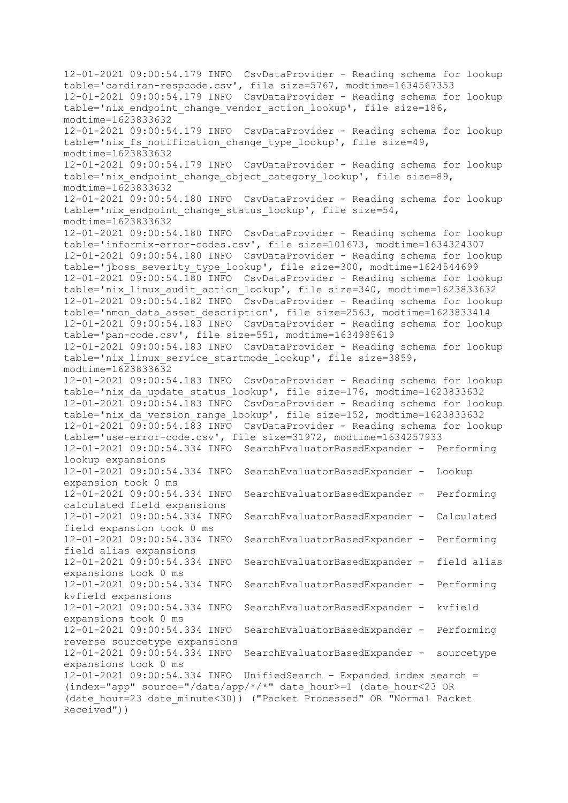12-01-2021 09:00:54.179 INFO CsvDataProvider - Reading schema for lookup table='cardiran-respcode.csv', file size=5767, modtime=1634567353 12-01-2021 09:00:54.179 INFO CsvDataProvider - Reading schema for lookup table='nix endpoint change vendor action lookup', file size=186,  $modtime=16\overline{2}3833632$ 12-01-2021 09:00:54.179 INFO CsvDataProvider - Reading schema for lookup table='nix fs notification change type lookup', file size=49,  $modtime=1623833632$ 12-01-2021 09:00:54.179 INFO CsvDataProvider - Reading schema for lookup table='nix endpoint change object category lookup', file size=89, modtime=1623833632 12-01-2021 09:00:54.180 INFO CsvDataProvider - Reading schema for lookup table='nix endpoint change status lookup', file size=54, modtime=1623833632 12-01-2021 09:00:54.180 INFO CsvDataProvider - Reading schema for lookup table='informix-error-codes.csv', file size=101673, modtime=1634324307 12-01-2021 09:00:54.180 INFO CsvDataProvider - Reading schema for lookup table='jboss\_severity\_type\_lookup', file size=300, modtime=1624544699 12-01-2021 09:00:54.180 INFO CsvDataProvider - Reading schema for lookup table='nix\_linux\_audit\_action\_lookup', file size=340, modtime=1623833632  $12-01-2021$  09:00:54.182 INFO CsvDataProvider - Reading schema for lookup table='nmon data asset description', file size=2563, modtime=1623833414 12-01-2021 09:00:54.183 INFO CsvDataProvider - Reading schema for lookup table='pan-code.csv', file size=551, modtime=1634985619 12-01-2021 09:00:54.183 INFO CsvDataProvider - Reading schema for lookup table='nix\_linux\_service\_startmode\_lookup', file size=3859, modtime=1623833632 12-01-2021 09:00:54.183 INFO CsvDataProvider - Reading schema for lookup table='nix da update status lookup', file size=176, modtime=1623833632  $12-01-2021$  09:00:54.183 INFO CsyDataProvider - Reading schema for lookup table='nix\_da\_version\_range\_lookup', file size=152, modtime=1623833632  $12-01-2021$  09:00:54.183 INFO CsvDataProvider - Reading schema for lookup table='use-error-code.csv', file size=31972, modtime=1634257933 12-01-2021 09:00:54.334 INFO SearchEvaluatorBasedExpander - Performing lookup expansions 12-01-2021 09:00:54.334 INFO SearchEvaluatorBasedExpander - Lookup expansion took 0 ms 12-01-2021 09:00:54.334 INFO SearchEvaluatorBasedExpander - Performing calculated field expansions 12-01-2021 09:00:54.334 INFO SearchEvaluatorBasedExpander - Calculated field expansion took 0 ms 12-01-2021 09:00:54.334 INFO SearchEvaluatorBasedExpander - Performing field alias expansions 12-01-2021 09:00:54.334 INFO SearchEvaluatorBasedExpander - field alias expansions took 0 ms 12-01-2021 09:00:54.334 INFO SearchEvaluatorBasedExpander - Performing kvfield expansions 12-01-2021 09:00:54.334 INFO SearchEvaluatorBasedExpander - kvfield expansions took 0 ms 12-01-2021 09:00:54.334 INFO SearchEvaluatorBasedExpander - Performing reverse sourcetype expansions 12-01-2021 09:00:54.334 INFO SearchEvaluatorBasedExpander - sourcetype expansions took 0 ms  $12-01-2021$   $09:00:54.334$  INFO UnifiedSearch - Expanded index search =  $(index="app" source=" /data/app/*/*" date hour>=1 (date hour<23 0R)$ (date\_hour=23 date\_minute<30)) ("Packet Processed" OR "Normal Packet Received"))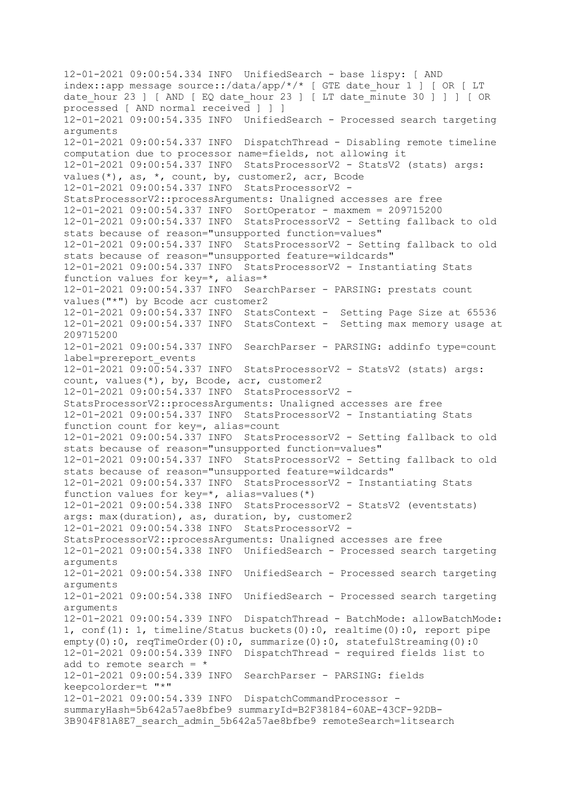12-01-2021 09:00:54.334 INFO UnifiedSearch - base lispy: [ AND index::app message source::/data/app/\*/\* [ GTE date\_hour 1 ] [ OR [ LT date hour 23 ] [ AND [ EQ date hour 23 ] [ LT date  $\overline{m}$  inute 30 ] ] ] [ OR processed [ AND normal received ] ] ] 12-01-2021 09:00:54.335 INFO UnifiedSearch - Processed search targeting arguments 12-01-2021 09:00:54.337 INFO DispatchThread - Disabling remote timeline computation due to processor name=fields, not allowing it 12-01-2021 09:00:54.337 INFO StatsProcessorV2 - StatsV2 (stats) args: values(\*), as, \*, count, by, customer2, acr, Bcode 12-01-2021 09:00:54.337 INFO StatsProcessorV2 - StatsProcessorV2::processArguments: Unaligned accesses are free 12-01-2021 09:00:54.337 INFO SortOperator - maxmem = 209715200 12-01-2021 09:00:54.337 INFO StatsProcessorV2 - Setting fallback to old stats because of reason="unsupported function=values" 12-01-2021 09:00:54.337 INFO StatsProcessorV2 - Setting fallback to old stats because of reason="unsupported feature=wildcards" 12-01-2021 09:00:54.337 INFO StatsProcessorV2 - Instantiating Stats function values for key=\*, alias=\* 12-01-2021 09:00:54.337 INFO SearchParser - PARSING: prestats count values("\*") by Bcode acr customer2 12-01-2021 09:00:54.337 INFO StatsContext - Setting Page Size at 65536 12-01-2021 09:00:54.337 INFO StatsContext - Setting max memory usage at 209715200 12-01-2021 09:00:54.337 INFO SearchParser - PARSING: addinfo type=count label=prereport\_events  $12-01-2021$   $09:00:54.337$  INFO StatsProcessorV2 - StatsV2 (stats) args: count, values(\*), by, Bcode, acr, customer2 12-01-2021 09:00:54.337 INFO StatsProcessorV2 - StatsProcessorV2::processArguments: Unaligned accesses are free 12-01-2021 09:00:54.337 INFO StatsProcessorV2 - Instantiating Stats function count for key=, alias=count 12-01-2021 09:00:54.337 INFO StatsProcessorV2 - Setting fallback to old stats because of reason="unsupported function=values" 12-01-2021 09:00:54.337 INFO StatsProcessorV2 - Setting fallback to old stats because of reason="unsupported feature=wildcards" 12-01-2021 09:00:54.337 INFO StatsProcessorV2 - Instantiating Stats function values for key=\*, alias=values(\*) 12-01-2021 09:00:54.338 INFO StatsProcessorV2 - StatsV2 (eventstats) args: max(duration), as, duration, by, customer2 12-01-2021 09:00:54.338 INFO StatsProcessorV2 - StatsProcessorV2::processArguments: Unaligned accesses are free 12-01-2021 09:00:54.338 INFO UnifiedSearch - Processed search targeting arguments 12-01-2021 09:00:54.338 INFO UnifiedSearch - Processed search targeting arguments 12-01-2021 09:00:54.338 INFO UnifiedSearch - Processed search targeting arguments 12-01-2021 09:00:54.339 INFO DispatchThread - BatchMode: allowBatchMode: 1, conf(1): 1, timeline/Status buckets(0):0, realtime(0):0, report pipe empty(0):0, reqTimeOrder(0):0, summarize(0):0, statefulStreaming(0):0 12-01-2021 09:00:54.339 INFO DispatchThread - required fields list to add to remote search =  $*$ 12-01-2021 09:00:54.339 INFO SearchParser - PARSING: fields keepcolorder=t "\*" 12-01-2021 09:00:54.339 INFO DispatchCommandProcessor summaryHash=5b642a57ae8bfbe9 summaryId=B2F38184-60AE-43CF-92DB-3B904F81A8E7\_search\_admin\_5b642a57ae8bfbe9 remoteSearch=litsearch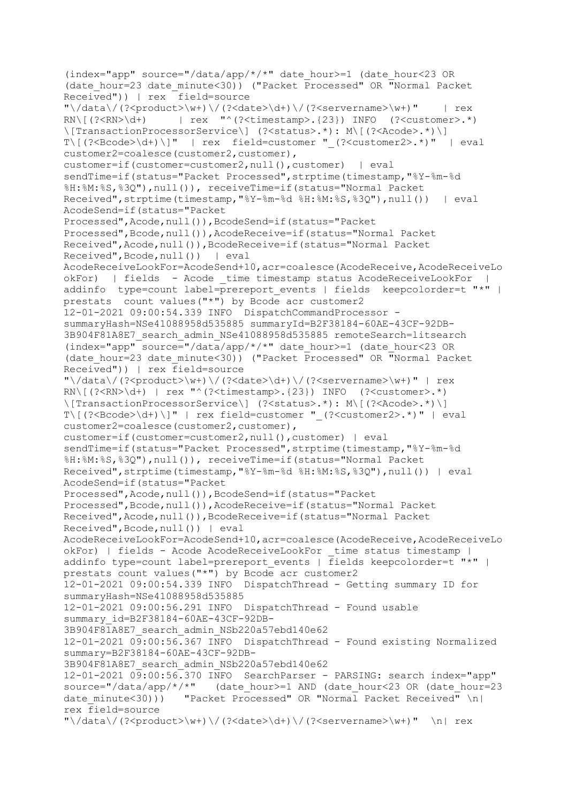(index="app" source="/data/app/\*/\*" date\_hour>=1 (date\_hour<23 OR (date\_hour=23 date\_minute<30)) ("Packet Processed" OR "Normal Packet Received")) | rex field=source  $"\setminus /data\setminus$  (?<product>\w+)\/(?<date>\d+)\/(?<servername>\w+)" | rex RN\[(?<RN>\d+) | rex "^(?<timestamp>.{23}) INFO (?<customer>.\*) \[TransactionProcessorService\] (?<status>.\*): M\[(?<Acode>.\*)\]  $T\left(\frac{?}{\text{Cocode}}\right)$  | " | rex field=customer "  $\left(\frac{?}{\text{Customer2}}\right)$ .\*)" | eval customer2=coalesce(customer2, customer), customer=if(customer=customer2,null(),customer) | eval sendTime=if(status="Packet Processed", strptime(timestamp, "%Y-%m-%d %H:%M:%S,%3Q"),null()), receiveTime=if(status="Normal Packet Received", strptime(timestamp, "%Y-%m-%d %H:%M:%S, %3Q"), null()) | eval AcodeSend=if(status="Packet Processed",Acode,null()),BcodeSend=if(status="Packet Processed",Bcode,null()),AcodeReceive=if(status="Normal Packet Received",Acode,null()),BcodeReceive=if(status="Normal Packet Received",Bcode,null()) | eval AcodeReceiveLookFor=AcodeSend+10,acr=coalesce(AcodeReceive,AcodeReceiveLo okFor) | fields - Acode \_time timestamp status AcodeReceiveLookFor | addinfo type=count label=prereport events | fields keepcolorder=t "\*" | prestats count values("\*") by Bcode acr customer2 12-01-2021 09:00:54.339 INFO DispatchCommandProcessor summaryHash=NSe41088958d535885 summaryId=B2F38184-60AE-43CF-92DB-3B904F81A8E7\_search\_admin\_NSe41088958d535885 remoteSearch=litsearch  $(index="app" source=" /data/app/*/*"$  date hour>=1 (date hour<23 OR (date\_hour=23 date\_minute<30)) ("Packet Processed" OR "Normal Packet Received")) | rex field=source  $"\setminus /data\setminus$  (?<product>\w+)\/(?<date>\d+)\/(?<servername>\w+)" | rex  $RN\left(\left(?\right\{d+\right)$  | rex "^(?<timestamp>.{23}) INFO (?<customer>.\*) \[TransactionProcessorService\] (?<status>.\*): M\[(?<Acode>.\*)\]  $T\left($  (?<Bcode>\d+) \]" | rex field=customer " (?<customer2>.\*)" | eval customer2=coalesce(customer2,customer), customer=if(customer=customer2,null(),customer) | eval sendTime=if(status="Packet Processed",strptime(timestamp,"%Y-%m-%d %H:%M:%S,%3Q"),null()), receiveTime=if(status="Normal Packet Received", strptime(timestamp, "%Y-%m-%d %H:%M:%S, %3Q"), null()) | eval AcodeSend=if(status="Packet Processed", Acode, null()), BcodeSend=if(status="Packet Processed",Bcode,null()),AcodeReceive=if(status="Normal Packet Received",Acode,null()),BcodeReceive=if(status="Normal Packet Received",Bcode,null()) | eval AcodeReceiveLookFor=AcodeSend+10,acr=coalesce(AcodeReceive,AcodeReceiveLo okFor) | fields - Acode AcodeReceiveLookFor time status timestamp | addinfo type=count label=prereport events | fields keepcolorder=t "\*" | prestats count values("\*") by Bcode acr customer2 12-01-2021 09:00:54.339 INFO DispatchThread - Getting summary ID for summaryHash=NSe41088958d535885 12-01-2021 09:00:56.291 INFO DispatchThread - Found usable summary id=B2F38184-60AE-43CF-92DB-3B904F81A8E7\_search\_admin\_NSb220a57ebd140e62  $12-01-2021$   $09:00:56.367$  INFO DispatchThread - Found existing Normalized summary=B2F38184-60AE-43CF-92DB-3B904F81A8E7\_search\_admin\_NSb220a57ebd140e62 12-01-2021 09:00:56.370 INFO SearchParser - PARSING: search index="app" source="/data/app/\*/\*" (date\_hour>=1 AND (date\_hour<23 OR (date\_hour=23 date minute<30))) "Packet Processed" OR "Normal Packet Received"  $\n \n \begin{bmatrix}\n 1\n \end{bmatrix}$ rex field=source  $"\rangle/data\slash$  (?<product>\w+)\/(?<date>\d+)\/(?<servername>\w+)" \n| rex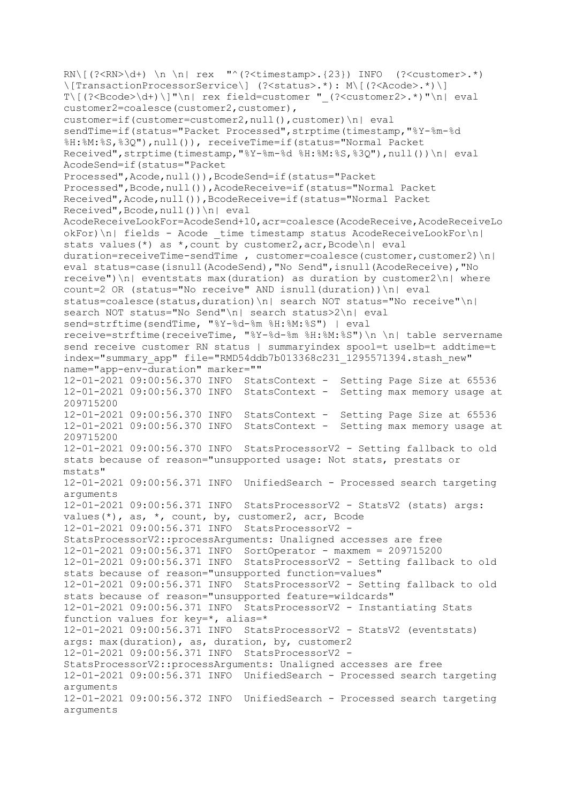RN\[(?<RN>\d+) \n \n| rex "^(?<timestamp>.{23}) INFO (?<customer>.\*) \[TransactionProcessorService\] (?<status>.\*): M\[(?<Acode>.\*)\] T\[(?<Bcode>\d+)\]"\n| rex field=customer " (?<customer2>.\*)"\n| eval customer2=coalesce(customer2, customer), customer=if(customer=customer2,null(),customer)\n| eval sendTime=if(status="Packet Processed",strptime(timestamp,"%Y-%m-%d %H:%M:%S,%3Q"),null()), receiveTime=if(status="Normal Packet Received", strptime(timestamp, "%Y-%m-%d %H:%M:%S, %3Q"), null())\n| eval AcodeSend=if(status="Packet Processed",Acode,null()),BcodeSend=if(status="Packet Processed",Bcode,null()),AcodeReceive=if(status="Normal Packet Received",Acode,null()),BcodeReceive=if(status="Normal Packet Received",Bcode,null())\n| eval AcodeReceiveLookFor=AcodeSend+10,acr=coalesce(AcodeReceive,AcodeReceiveLo  $okFor)\n\|$  fields - Acode time timestamp status AcodeReceiveLookFor $\n\|$ stats values(\*) as \*, count by customer2, acr, Bcode\n| eval duration=receiveTime-sendTime , customer=coalesce(customer, customer2) $\n\|$ eval status=case(isnull(AcodeSend),"No Send",isnull(AcodeReceive),"No receive")\n| eventstats max(duration) as duration by customer2\n| where count=2 OR (status="No receive" AND isnull(duration))\n| eval status=coalesce(status,duration)\n| search NOT status="No receive"\n| search NOT status="No Send"\n| search status>2\n| eval send=strftime(sendTime, "%Y-%d-%m %H:%M:%S") | eval receive=strftime(receiveTime, "%Y-%d-%m %H:%M:%S")\n \n| table servername send receive customer RN status | summaryindex spool=t uselb=t addtime=t index="summary\_app" file="RMD54ddb7b013368c231\_1295571394.stash\_new" name="app-env-duration" marker="" 12-01-2021 09:00:56.370 INFO StatsContext - Setting Page Size at 65536 12-01-2021 09:00:56.370 INFO StatsContext - Setting max memory usage at 209715200 12-01-2021 09:00:56.370 INFO StatsContext - Setting Page Size at 65536 12-01-2021 09:00:56.370 INFO StatsContext - Setting max memory usage at 209715200 12-01-2021 09:00:56.370 INFO StatsProcessorV2 - Setting fallback to old stats because of reason="unsupported usage: Not stats, prestats or mstats" 12-01-2021 09:00:56.371 INFO UnifiedSearch - Processed search targeting arguments 12-01-2021 09:00:56.371 INFO StatsProcessorV2 - StatsV2 (stats) args: values(\*), as, \*, count, by, customer2, acr, Bcode 12-01-2021 09:00:56.371 INFO StatsProcessorV2 - StatsProcessorV2::processArguments: Unaligned accesses are free 12-01-2021 09:00:56.371 INFO SortOperator - maxmem = 209715200 12-01-2021 09:00:56.371 INFO StatsProcessorV2 - Setting fallback to old stats because of reason="unsupported function=values" 12-01-2021 09:00:56.371 INFO StatsProcessorV2 - Setting fallback to old stats because of reason="unsupported feature=wildcards" 12-01-2021 09:00:56.371 INFO StatsProcessorV2 - Instantiating Stats function values for key=\*, alias=\* 12-01-2021 09:00:56.371 INFO StatsProcessorV2 - StatsV2 (eventstats) args: max(duration), as, duration, by, customer2 12-01-2021 09:00:56.371 INFO StatsProcessorV2 - StatsProcessorV2::processArguments: Unaligned accesses are free 12-01-2021 09:00:56.371 INFO UnifiedSearch - Processed search targeting arguments 12-01-2021 09:00:56.372 INFO UnifiedSearch - Processed search targeting arguments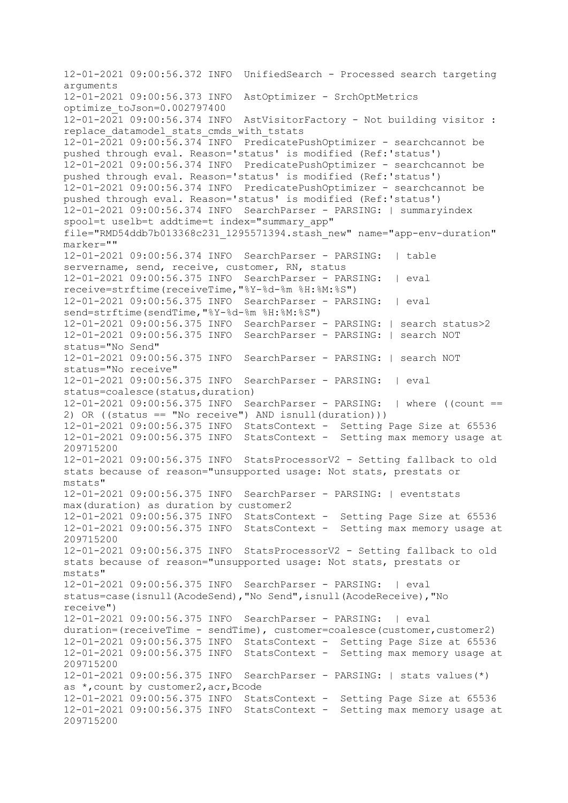12-01-2021 09:00:56.372 INFO UnifiedSearch - Processed search targeting arguments 12-01-2021 09:00:56.373 INFO AstOptimizer - SrchOptMetrics optimize\_toJson=0.002797400  $12-01-20\overline{2}1$  09:00:56.374 INFO AstVisitorFactory - Not building visitor : replace datamodel stats cmds with tstats  $12-01-2021$  09:00:56.374 INFO PredicatePushOptimizer - searchcannot be pushed through eval. Reason='status' is modified (Ref:'status') 12-01-2021 09:00:56.374 INFO PredicatePushOptimizer - searchcannot be pushed through eval. Reason='status' is modified (Ref:'status') 12-01-2021 09:00:56.374 INFO PredicatePushOptimizer - searchcannot be pushed through eval. Reason='status' is modified (Ref:'status') 12-01-2021 09:00:56.374 INFO SearchParser - PARSING: | summaryindex spool=t uselb=t addtime=t index="summary app" file="RMD54ddb7b013368c231\_1295571394.stash\_new" name="app-env-duration" marker="" 12-01-2021 09:00:56.374 INFO SearchParser - PARSING: | table servername, send, receive, customer, RN, status 12-01-2021 09:00:56.375 INFO SearchParser - PARSING: | eval receive=strftime(receiveTime,"%Y-%d-%m %H:%M:%S") 12-01-2021 09:00:56.375 INFO SearchParser - PARSING: | eval send=strftime(sendTime,"%Y-%d-%m %H:%M:%S") 12-01-2021 09:00:56.375 INFO SearchParser - PARSING: | search status>2 12-01-2021 09:00:56.375 INFO SearchParser - PARSING: | search NOT status="No Send" 12-01-2021 09:00:56.375 INFO SearchParser - PARSING: | search NOT status="No receive" 12-01-2021 09:00:56.375 INFO SearchParser - PARSING: | eval status=coalesce(status,duration) 12-01-2021 09:00:56.375 INFO SearchParser - PARSING: | where ((count == 2) OR ((status == "No receive") AND isnull(duration))) 12-01-2021 09:00:56.375 INFO StatsContext - Setting Page Size at 65536 12-01-2021 09:00:56.375 INFO StatsContext - Setting max memory usage at 209715200 12-01-2021 09:00:56.375 INFO StatsProcessorV2 - Setting fallback to old stats because of reason="unsupported usage: Not stats, prestats or mstats" 12-01-2021 09:00:56.375 INFO SearchParser - PARSING: | eventstats max(duration) as duration by customer2 12-01-2021 09:00:56.375 INFO StatsContext - Setting Page Size at 65536 12-01-2021 09:00:56.375 INFO StatsContext - Setting max memory usage at 209715200 12-01-2021 09:00:56.375 INFO StatsProcessorV2 - Setting fallback to old stats because of reason="unsupported usage: Not stats, prestats or mstats" 12-01-2021 09:00:56.375 INFO SearchParser - PARSING: | eval status=case(isnull(AcodeSend),"No Send",isnull(AcodeReceive),"No receive") 12-01-2021 09:00:56.375 INFO SearchParser - PARSING: | eval duration=(receiveTime - sendTime), customer=coalesce(customer,customer2) 12-01-2021 09:00:56.375 INFO StatsContext - Setting Page Size at 65536 12-01-2021 09:00:56.375 INFO StatsContext - Setting max memory usage at 209715200 12-01-2021 09:00:56.375 INFO SearchParser - PARSING: | stats values(\*) as \*,count by customer2,acr,Bcode 12-01-2021 09:00:56.375 INFO StatsContext - Setting Page Size at 65536 12-01-2021 09:00:56.375 INFO StatsContext - Setting max memory usage at 209715200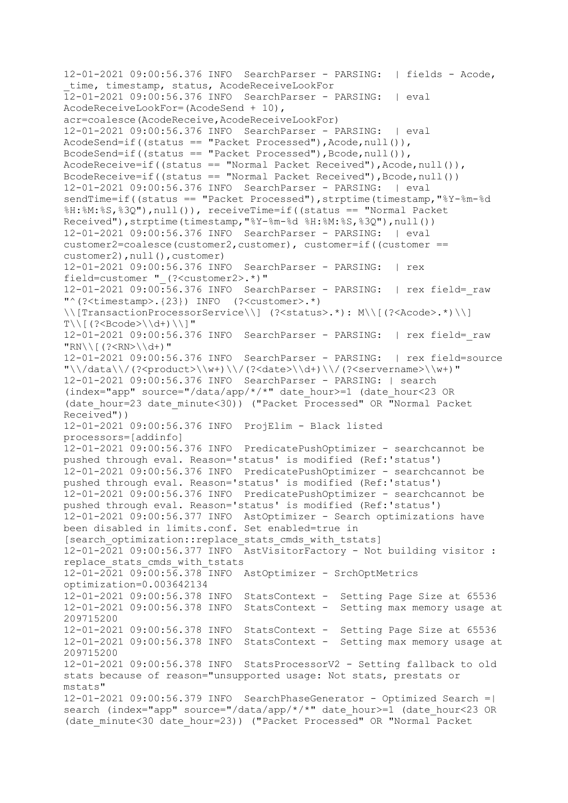12-01-2021 09:00:56.376 INFO SearchParser - PARSING: | fields - Acode, time, timestamp, status, AcodeReceiveLookFor 12-01-2021 09:00:56.376 INFO SearchParser - PARSING: | eval AcodeReceiveLookFor=(AcodeSend + 10), acr=coalesce(AcodeReceive,AcodeReceiveLookFor) 12-01-2021 09:00:56.376 INFO SearchParser - PARSING: | eval AcodeSend=if((status == "Packet Processed"),Acode,null()), BcodeSend=if((status == "Packet Processed"), Bcode, null()), AcodeReceive=if((status == "Normal Packet Received"), Acode, null()), BcodeReceive=if((status == "Normal Packet Received"), Bcode, null()) 12-01-2021 09:00:56.376 INFO SearchParser - PARSING: | eval sendTime=if((status == "Packet Processed"),strptime(timestamp,"%Y-%m-%d %H:%M:%S,%3Q"),null()), receiveTime=if((status == "Normal Packet Received"),strptime(timestamp,"%Y-%m-%d %H:%M:%S,%3Q"),null()) 12-01-2021 09:00:56.376 INFO SearchParser - PARSING: | eval customer2=coalesce(customer2,customer), customer=if((customer == customer2),null(),customer) 12-01-2021 09:00:56.376 INFO SearchParser - PARSING: | rex field=customer "\_(?<customer2>.\*)" 12-01-2021 09:00:56.376 INFO SearchParser - PARSING: | rex field=\_raw "^(?<timestamp>.{23}) INFO (?<customer>.\*) \\[TransactionProcessorService\\] (?<status>.\*): M\\[(?<Acode>.\*)\\]  $T\setminus [$  (?<Bcode> $\setminus \setminus d$ +)  $\setminus$ ]" 12-01-2021 09:00:56.376 INFO SearchParser - PARSING: | rex field=\_raw  $"RN\backslash ($  (?<RN> $\backslash \backslash d+$ ) " 12-01-2021 09:00:56.376 INFO SearchParser - PARSING: | rex field=source  $"\\\}/\hat{?}roduct>\\w+)\\/(?<date>\\d+)\\/(?<servername>\\w+)"$ 12-01-2021 09:00:56.376 INFO SearchParser - PARSING: | search  $(index="app" source=" /data/app/*/*" date hour>=1 (date hour<23 0R)$ (date\_hour=23 date\_minute<30)) ("Packet Processed" OR "Normal Packet Received")) 12-01-2021 09:00:56.376 INFO ProjElim - Black listed processors=[addinfo] 12-01-2021 09:00:56.376 INFO PredicatePushOptimizer - searchcannot be pushed through eval. Reason='status' is modified (Ref:'status') 12-01-2021 09:00:56.376 INFO PredicatePushOptimizer - searchcannot be pushed through eval. Reason='status' is modified (Ref:'status') 12-01-2021 09:00:56.376 INFO PredicatePushOptimizer - searchcannot be pushed through eval. Reason='status' is modified (Ref:'status') 12-01-2021 09:00:56.377 INFO AstOptimizer - Search optimizations have been disabled in limits.conf. Set enabled=true in [search\_optimization::replace\_stats\_cmds\_with\_tstats] 12-01-2021 09:00:56.377 INFO AstVisitorFactory - Not building visitor : replace stats cmds with tstats 12-01-2021 09:00:56.378 INFO AstOptimizer - SrchOptMetrics optimization=0.003642134 12-01-2021 09:00:56.378 INFO StatsContext - Setting Page Size at 65536 12-01-2021 09:00:56.378 INFO StatsContext - Setting max memory usage at 209715200 12-01-2021 09:00:56.378 INFO StatsContext - Setting Page Size at 65536 12-01-2021 09:00:56.378 INFO StatsContext - Setting max memory usage at 209715200 12-01-2021 09:00:56.378 INFO StatsProcessorV2 - Setting fallback to old stats because of reason="unsupported usage: Not stats, prestats or mstats" 12-01-2021 09:00:56.379 INFO SearchPhaseGenerator - Optimized Search =| search (index="app" source="/data/app/\*/\*" date hour>=1 (date hour<23 OR (date\_minute<30 date\_hour=23)) ("Packet Processed" OR "Normal Packet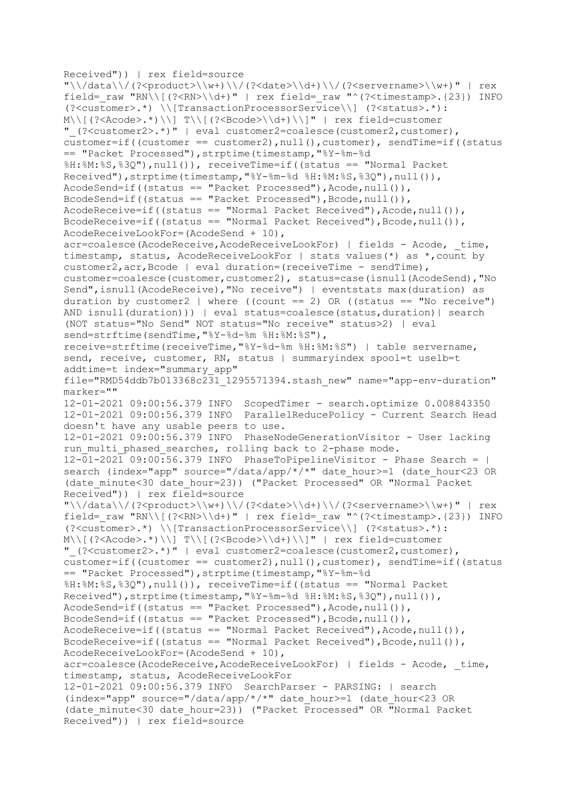Received")) | rex field=source  $"\\\/data\\/$  (?<product>\\w+)\\/(?<date>\\d+)\\/(?<servername>\\w+)" | rex field= raw "RN\\[(?<RN>\\d+)" | rex field= raw "^(?<timestamp>.{23}) INFO (?<customer>.\*) \\[TransactionProcessorService\\] (?<status>.\*): M\\[(?<Acode>.\*)\\] T\\[(?<Bcode>\\d+)\\]" | rex field=customer "\_(?<customer2>.\*)" | eval customer2=coalesce(customer2,customer),  $\overline{\text{customer}}$ =if((customer == customer2),null(),customer), sendTime=if((status == "Packet Processed"),strptime(timestamp,"%Y-%m-%d %H:%M:%S,%3Q"),null()), receiveTime=if((status == "Normal Packet Received"), strptime(timestamp, "%Y-%m-%d %H:%M:%S, %3Q"), null()), AcodeSend=if((status == "Packet Processed"),Acode,null()), BcodeSend=if((status == "Packet Processed"), Bcode, null()),  $AcodeReceive=if((status == "Normal Packet Received"), Acode, null())$ BcodeReceive=if((status == "Normal Packet Received"), Bcode, null()), AcodeReceiveLookFor=(AcodeSend + 10), acr=coalesce(AcodeReceive,AcodeReceiveLookFor) | fields - Acode, time, timestamp, status, AcodeReceiveLookFor | stats values(\*) as \*,count by customer2,acr,Bcode | eval duration=(receiveTime - sendTime), customer=coalesce(customer,customer2), status=case(isnull(AcodeSend),"No Send",isnull(AcodeReceive),"No receive") | eventstats max(duration) as duration by customer2 | where ((count == 2) OR ((status == "No receive") AND isnull(duration))) | eval status=coalesce(status,duration)| search (NOT status="No Send" NOT status="No receive" status>2) | eval send=strftime(sendTime,"%Y-%d-%m %H:%M:%S"), receive=strftime(receiveTime,"%Y-%d-%m %H:%M:%S") | table servername, send, receive, customer, RN, status | summaryindex spool=t uselb=t addtime=t index="summary\_app" file="RMD54ddb7b013368c231\_1295571394.stash\_new" name="app-env-duration" marker="" 12-01-2021 09:00:56.379 INFO ScopedTimer - search.optimize 0.008843350 12-01-2021 09:00:56.379 INFO ParallelReducePolicy - Current Search Head doesn't have any usable peers to use. 12-01-2021 09:00:56.379 INFO PhaseNodeGenerationVisitor - User lacking run multi phased searches, rolling back to 2-phase mode. 12-01-2021 09:00:56.379 INFO PhaseToPipelineVisitor - Phase Search = | search (index="app" source="/data/app/\*/\*" date hour>=1 (date hour<23 OR (date\_minute<30 date\_hour=23)) ("Packet Processed" OR "Normal Packet Received")) | rex field=source  $"\\\/data\\/$  (?<product>\\w+)\\/(?<date>\\d+)\\/(?<servername>\\w+)" | rex field=\_raw "RN\\[(?<RN>\\d+)" | rex field=\_raw "^(?<timestamp>.{23}) INFO (?<customer>.\*) \\[TransactionProcessorService\\] (?<status>.\*): M\\[(?<Acode>.\*)\\] T\\[(?<Bcode>\\d+)\\]" | rex field=customer "\_(?<customer2>.\*)" | eval customer2=coalesce(customer2,customer), customer=if((customer == customer2),null(),customer), sendTime=if((status == "Packet Processed"),strptime(timestamp,"%Y-%m-%d %H:%M:%S,%3Q"),null()), receiveTime=if((status == "Normal Packet Received"),strptime(timestamp,"%Y-%m-%d %H:%M:%S,%3Q"),null()), AcodeSend=if((status == "Packet Processed"),Acode,null()), BcodeSend=if((status == "Packet Processed"), Bcode, null()),  $AcodeReceive=if((status == "Normal Packet Receiver', Acode, null());$ BcodeReceive=if((status == "Normal Packet Received"), Bcode, null()), AcodeReceiveLookFor=(AcodeSend + 10), acr=coalesce(AcodeReceive,AcodeReceiveLookFor) | fields - Acode, time, timestamp, status, AcodeReceiveLookFor 12-01-2021 09:00:56.379 INFO SearchParser - PARSING: | search (index="app" source="/data/app/\*/\*" date\_hour>=1 (date\_hour<23 OR (date minute<30 date hour=23)) ("Packet Processed" OR "Normal Packet Received")) | rex field=source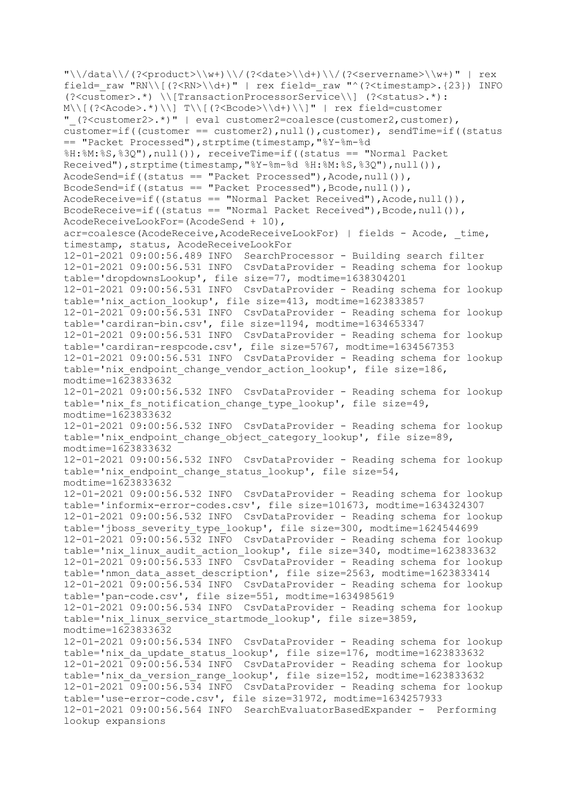"\\/data\\/(?<product>\\w+)\\/(?<date>\\d+)\\/(?<servername>\\w+)" | rex field= raw "RN\\[(?<RN>\\d+)" | rex field= raw "^(?<timestamp>.{23}) INFO (?<customer>.\*) \\[TransactionProcessorService\\] (?<status>.\*): M\\[(?<Acode>.\*)\\] T\\[(?<Bcode>\\d+)\\]" | rex field=customer "\_(?<customer2>.\*)" | eval customer2=coalesce(customer2,customer), customer=if((customer == customer2),null(),customer), sendTime=if((status == "Packet Processed"),strptime(timestamp,"%Y-%m-%d %H:%M:%S,%3Q"),null()), receiveTime=if((status == "Normal Packet Received"), strptime(timestamp, "%Y-%m-%d %H:%M:%S, %3Q"), null()), AcodeSend=if((status == "Packet Processed"),Acode,null()), BcodeSend=if((status == "Packet Processed"), Bcode, null()), AcodeReceive=if((status == "Normal Packet Received"),Acode,null()), BcodeReceive=if((status == "Normal Packet Received"), Bcode, null()), AcodeReceiveLookFor=(AcodeSend + 10), acr=coalesce(AcodeReceive,AcodeReceiveLookFor) | fields - Acode, time, timestamp, status, AcodeReceiveLookFor 12-01-2021 09:00:56.489 INFO SearchProcessor - Building search filter 12-01-2021 09:00:56.531 INFO CsvDataProvider - Reading schema for lookup table='dropdownsLookup', file size=77, modtime=1638304201 12-01-2021 09:00:56.531 INFO CsvDataProvider - Reading schema for lookup table='nix\_action\_lookup', file size=413, modtime=1623833857 12-01-2021 09:00:56.531 INFO CsvDataProvider - Reading schema for lookup table='cardiran-bin.csv', file size=1194, modtime=1634653347 12-01-2021 09:00:56.531 INFO CsvDataProvider - Reading schema for lookup table='cardiran-respcode.csv', file size=5767, modtime=1634567353 12-01-2021 09:00:56.531 INFO CsvDataProvider - Reading schema for lookup table='nix\_endpoint\_change\_vendor\_action\_lookup', file size=186, modtime=1623833632 12-01-2021 09:00:56.532 INFO CsvDataProvider - Reading schema for lookup table='nix fs notification change type lookup', file size=49, modtime=1623833632 12-01-2021 09:00:56.532 INFO CsvDataProvider - Reading schema for lookup table='nix endpoint change object category lookup', file size=89, modtime=1623833632 12-01-2021 09:00:56.532 INFO CsvDataProvider - Reading schema for lookup table='nix\_endpoint\_change\_status\_lookup', file size=54, modtime=1623833632 12-01-2021 09:00:56.532 INFO CsvDataProvider - Reading schema for lookup table='informix-error-codes.csv', file size=101673, modtime=1634324307 12-01-2021 09:00:56.532 INFO CsvDataProvider - Reading schema for lookup table='jboss\_severity\_type\_lookup', file size=300, modtime=1624544699  $12-01-2021$   $09:00:56.532$  INFO CsyDataProvider - Reading schema for lookup table='nix linux audit action lookup', file size=340, modtime=1623833632 12-01-2021 09:00:56.533 INFO CsvDataProvider - Reading schema for lookup table='nmon data asset description', file size=2563, modtime=1623833414 12-01-2021 09:00:56.534 INFO CsvDataProvider - Reading schema for lookup table='pan-code.csv', file size=551, modtime=1634985619 12-01-2021 09:00:56.534 INFO CsvDataProvider - Reading schema for lookup table='nix\_linux\_service\_startmode\_lookup', file size=3859, modtime=1623833632 12-01-2021 09:00:56.534 INFO CsvDataProvider - Reading schema for lookup table='nix\_da\_update\_status\_lookup', file size=176, modtime=1623833632 12-01-2021 09:00:56.534 INFO CsvDataProvider - Reading schema for lookup table='nix\_da\_version\_range\_lookup', file size=152, modtime=1623833632  $12-01-2021$  09:00:56.534 INFO CsvDataProvider - Reading schema for lookup table='use-error-code.csv', file size=31972, modtime=1634257933 12-01-2021 09:00:56.564 INFO SearchEvaluatorBasedExpander - Performing lookup expansions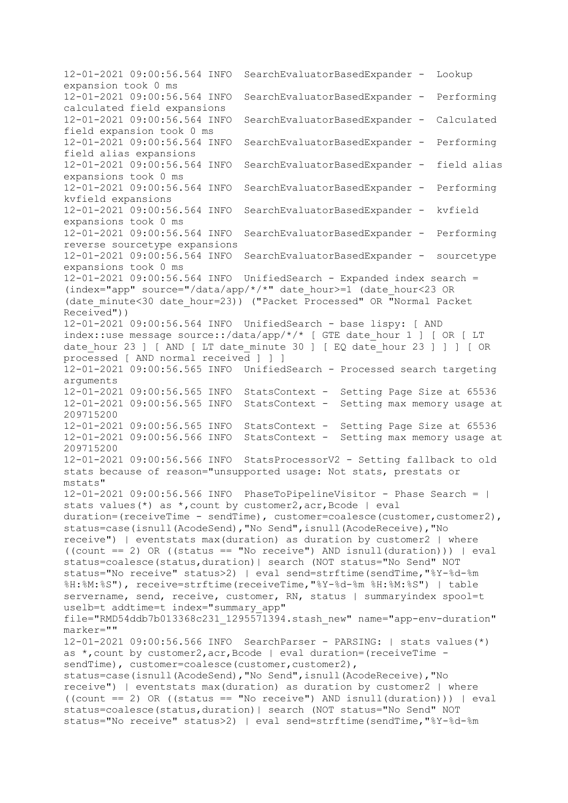12-01-2021 09:00:56.564 INFO SearchEvaluatorBasedExpander - Lookup expansion took 0 ms 12-01-2021 09:00:56.564 INFO SearchEvaluatorBasedExpander - Performing calculated field expansions 12-01-2021 09:00:56.564 INFO SearchEvaluatorBasedExpander - Calculated field expansion took 0 ms 12-01-2021 09:00:56.564 INFO SearchEvaluatorBasedExpander - Performing field alias expansions 12-01-2021 09:00:56.564 INFO SearchEvaluatorBasedExpander - field alias expansions took 0 ms 12-01-2021 09:00:56.564 INFO SearchEvaluatorBasedExpander - Performing kvfield expansions 12-01-2021 09:00:56.564 INFO SearchEvaluatorBasedExpander - kvfield expansions took 0 ms 12-01-2021 09:00:56.564 INFO SearchEvaluatorBasedExpander - Performing reverse sourcetype expansions 12-01-2021 09:00:56.564 INFO SearchEvaluatorBasedExpander - sourcetype expansions took 0 ms 12-01-2021 09:00:56.564 INFO UnifiedSearch - Expanded index search = (index="app" source="/data/app/\*/\*" date\_hour>=1 (date\_hour<23 OR (date\_minute<30 date\_hour=23)) ("Packet Processed" OR "Normal Packet Received")) 12-01-2021 09:00:56.564 INFO UnifiedSearch - base lispy: [ AND index::use message source::/data/app/\*/\* [ GTE date hour 1 ] [ OR [ LT date hour 23 ] [ AND [ LT date minute 30 ] [ EQ date hour 23 ] ] ] [ OR processed [ AND normal received ] ] ] 12-01-2021 09:00:56.565 INFO UnifiedSearch - Processed search targeting arguments 12-01-2021 09:00:56.565 INFO StatsContext - Setting Page Size at 65536 12-01-2021 09:00:56.565 INFO StatsContext - Setting max memory usage at 209715200 12-01-2021 09:00:56.565 INFO StatsContext - Setting Page Size at 65536 12-01-2021 09:00:56.566 INFO StatsContext - Setting max memory usage at 209715200 12-01-2021 09:00:56.566 INFO StatsProcessorV2 - Setting fallback to old stats because of reason="unsupported usage: Not stats, prestats or mstats" 12-01-2021 09:00:56.566 INFO PhaseToPipelineVisitor - Phase Search = | stats values(\*) as \*,count by customer2,acr,Bcode | eval duration=(receiveTime - sendTime), customer=coalesce(customer, customer2), status=case(isnull(AcodeSend),"No Send",isnull(AcodeReceive),"No receive") | eventstats max(duration) as duration by customer2 | where  $((count == 2) OR ((status == "No receive") AND isnull (duration))) \mid eval$ status=coalesce(status,duration)| search (NOT status="No Send" NOT status="No receive" status>2) | eval send=strftime(sendTime,"%Y-%d-%m %H:%M:%S"), receive=strftime(receiveTime,"%Y-%d-%m %H:%M:%S") | table servername, send, receive, customer, RN, status | summaryindex spool=t uselb=t addtime=t index="summary app" file="RMD54ddb7b013368c231\_1295571394.stash\_new" name="app-env-duration" marker="" 12-01-2021 09:00:56.566 INFO SearchParser - PARSING: | stats values(\*) as \*,count by customer2,acr,Bcode | eval duration=(receiveTime sendTime), customer=coalesce(customer, customer2), status=case(isnull(AcodeSend),"No Send",isnull(AcodeReceive),"No receive") | eventstats max(duration) as duration by customer2 | where  $((count == 2) OR ((status == "No receive") AND isnull (duration))) \mid eval$ status=coalesce(status,duration)| search (NOT status="No Send" NOT status="No receive" status>2) | eval send=strftime(sendTime, "%Y-%d-%m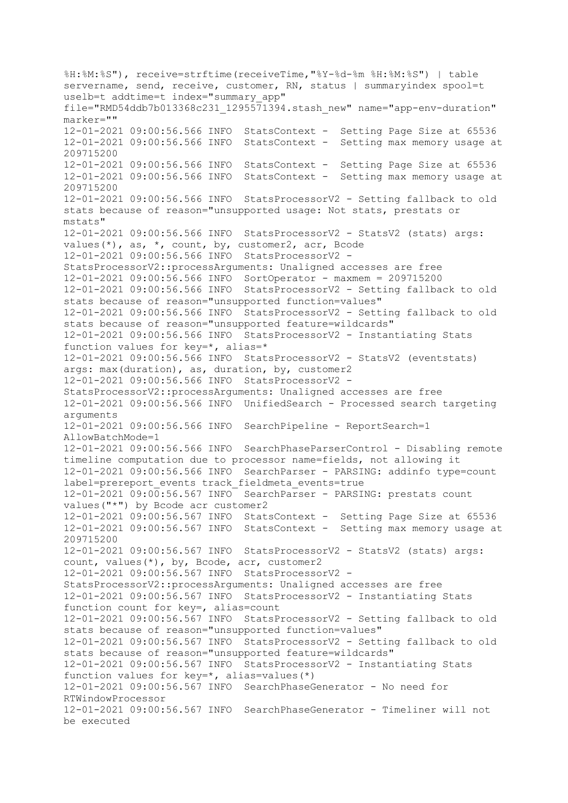%H:%M:%S"), receive=strftime(receiveTime,"%Y-%d-%m %H:%M:%S") | table servername, send, receive, customer, RN, status | summaryindex spool=t uselb=t addtime=t index="summary app" file="RMD54ddb7b013368c231\_1295571394.stash\_new" name="app-env-duration" marker="" 12-01-2021 09:00:56.566 INFO StatsContext - Setting Page Size at 65536 12-01-2021 09:00:56.566 INFO StatsContext - Setting max memory usage at 209715200 12-01-2021 09:00:56.566 INFO StatsContext - Setting Page Size at 65536 12-01-2021 09:00:56.566 INFO StatsContext - Setting max memory usage at 209715200 12-01-2021 09:00:56.566 INFO StatsProcessorV2 - Setting fallback to old stats because of reason="unsupported usage: Not stats, prestats or mstats" 12-01-2021 09:00:56.566 INFO StatsProcessorV2 - StatsV2 (stats) args: values(\*), as, \*, count, by, customer2, acr, Bcode 12-01-2021 09:00:56.566 INFO StatsProcessorV2 - StatsProcessorV2::processArguments: Unaligned accesses are free 12-01-2021 09:00:56.566 INFO SortOperator - maxmem = 209715200 12-01-2021 09:00:56.566 INFO StatsProcessorV2 - Setting fallback to old stats because of reason="unsupported function=values" 12-01-2021 09:00:56.566 INFO StatsProcessorV2 - Setting fallback to old stats because of reason="unsupported feature=wildcards" 12-01-2021 09:00:56.566 INFO StatsProcessorV2 - Instantiating Stats function values for key=\*, alias=\* 12-01-2021 09:00:56.566 INFO StatsProcessorV2 - StatsV2 (eventstats) args: max(duration), as, duration, by, customer2 12-01-2021 09:00:56.566 INFO StatsProcessorV2 - StatsProcessorV2::processArguments: Unaligned accesses are free 12-01-2021 09:00:56.566 INFO UnifiedSearch - Processed search targeting arguments 12-01-2021 09:00:56.566 INFO SearchPipeline - ReportSearch=1 AllowBatchMode=1 12-01-2021 09:00:56.566 INFO SearchPhaseParserControl - Disabling remote timeline computation due to processor name=fields, not allowing it 12-01-2021 09:00:56.566 INFO SearchParser - PARSING: addinfo type=count label=prereport events track fieldmeta events=true 12-01-2021 09:00:56.567 INFO SearchParser - PARSING: prestats count values("\*") by Bcode acr customer2 12-01-2021 09:00:56.567 INFO StatsContext - Setting Page Size at 65536 12-01-2021 09:00:56.567 INFO StatsContext - Setting max memory usage at 209715200 12-01-2021 09:00:56.567 INFO StatsProcessorV2 - StatsV2 (stats) args: count, values(\*), by, Bcode, acr, customer2 12-01-2021 09:00:56.567 INFO StatsProcessorV2 - StatsProcessorV2::processArguments: Unaligned accesses are free 12-01-2021 09:00:56.567 INFO StatsProcessorV2 - Instantiating Stats function count for key=, alias=count 12-01-2021 09:00:56.567 INFO StatsProcessorV2 - Setting fallback to old stats because of reason="unsupported function=values" 12-01-2021 09:00:56.567 INFO StatsProcessorV2 - Setting fallback to old stats because of reason="unsupported feature=wildcards" 12-01-2021 09:00:56.567 INFO StatsProcessorV2 - Instantiating Stats function values for key=\*, alias=values(\*) 12-01-2021 09:00:56.567 INFO SearchPhaseGenerator - No need for RTWindowProcessor 12-01-2021 09:00:56.567 INFO SearchPhaseGenerator - Timeliner will not be executed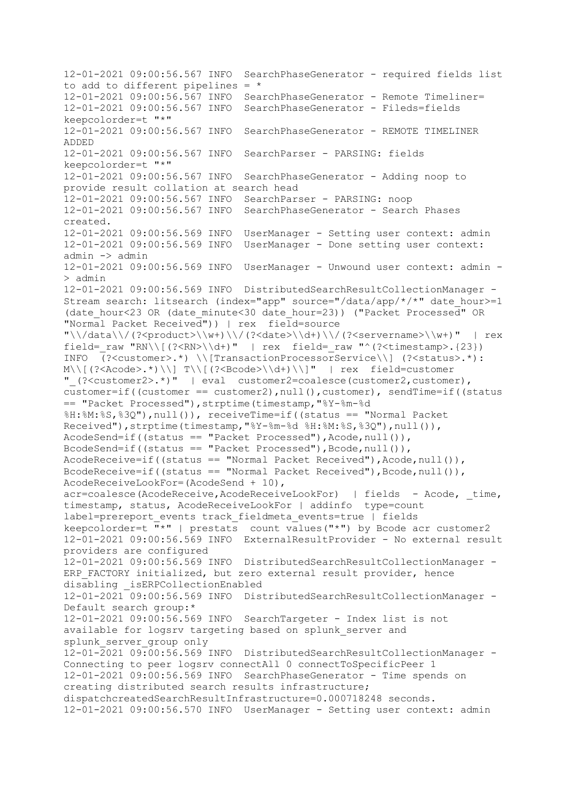12-01-2021 09:00:56.567 INFO SearchPhaseGenerator - required fields list to add to different pipelines =  $*$ 12-01-2021 09:00:56.567 INFO SearchPhaseGenerator - Remote Timeliner= 12-01-2021 09:00:56.567 INFO SearchPhaseGenerator - Fileds=fields keepcolorder=t "\*" 12-01-2021 09:00:56.567 INFO SearchPhaseGenerator - REMOTE TIMELINER ADDED 12-01-2021 09:00:56.567 INFO SearchParser - PARSING: fields keepcolorder=t "\*" 12-01-2021 09:00:56.567 INFO SearchPhaseGenerator - Adding noop to provide result collation at search head 12-01-2021 09:00:56.567 INFO SearchParser - PARSING: noop 12-01-2021 09:00:56.567 INFO SearchPhaseGenerator - Search Phases created. 12-01-2021 09:00:56.569 INFO UserManager - Setting user context: admin 12-01-2021 09:00:56.569 INFO UserManager - Done setting user context: admin -> admin 12-01-2021 09:00:56.569 INFO UserManager - Unwound user context: admin - > admin 12-01-2021 09:00:56.569 INFO DistributedSearchResultCollectionManager - Stream search: litsearch (index="app" source="/data/app/\*/\*" date hour>=1 (date\_hour<23 OR (date\_minute<30 date\_hour=23)) ("Packet Processed" OR "Normal Packet Received")) | rex field=source  $"\\\dagger\/(data\\d$  (?<product>\\w+)\\/(?<date>\\d+)\\/(?<servername>\\w+)" | rex field= raw "RN\\[(?<RN>\\d+)" | rex field= raw "^(?<timestamp>.{23}) INFO (?<customer>.\*) \\[TransactionProcessorService\\] (?<status>.\*): M\\[(?<Acode>.\*)\\] T\\[(?<Bcode>\\d+)\\]" | rex field=customer "\_(?<customer2>.\*)" | eval customer2=coalesce(customer2,customer), customer=if((customer == customer2),null(),customer), sendTime=if((status == "Packet Processed"),strptime(timestamp,"%Y-%m-%d %H:%M:%S,%3Q"),null()), receiveTime=if((status == "Normal Packet Received"),strptime(timestamp,"%Y-%m-%d %H:%M:%S,%3Q"),null()), AcodeSend=if((status == "Packet Processed"), Acode, null()), BcodeSend=if((status == "Packet Processed"), Bcode, null()),  $AcodeReceive=if((status == "Normal Packet Receiver")$ ,  $Acode, null())$ , BcodeReceive=if((status == "Normal Packet Received"), Bcode, null()), AcodeReceiveLookFor=(AcodeSend + 10), acr=coalesce(AcodeReceive,AcodeReceiveLookFor) | fields - Acode, time, timestamp, status, AcodeReceiveLookFor | addinfo type=count label=prereport events track fieldmeta events=true | fields keepcolorder=t  $\frac{1}{n}$ \*" | prestats count values("\*") by Bcode acr customer2 12-01-2021 09:00:56.569 INFO ExternalResultProvider - No external result providers are configured 12-01-2021 09:00:56.569 INFO DistributedSearchResultCollectionManager - ERP FACTORY initialized, but zero external result provider, hence disabling \_isERPCollectionEnabled 12-01-2021 09:00:56.569 INFO DistributedSearchResultCollectionManager - Default search group:\* 12-01-2021 09:00:56.569 INFO SearchTargeter - Index list is not available for logsrv targeting based on splunk\_server and splunk\_server\_group only 12-01-2021 09:00:56.569 INFO DistributedSearchResultCollectionManager - Connecting to peer logsrv connectAll 0 connectToSpecificPeer 1 12-01-2021 09:00:56.569 INFO SearchPhaseGenerator - Time spends on creating distributed search results infrastructure; dispatchcreatedSearchResultInfrastructure=0.000718248 seconds. 12-01-2021 09:00:56.570 INFO UserManager - Setting user context: admin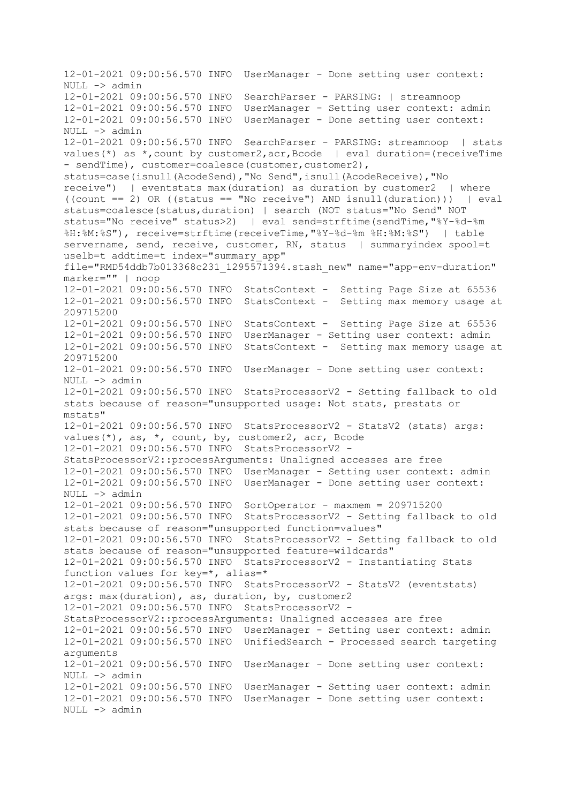12-01-2021 09:00:56.570 INFO UserManager - Done setting user context: NULL -> admin 12-01-2021 09:00:56.570 INFO SearchParser - PARSING: | streamnoop 12-01-2021 09:00:56.570 INFO UserManager - Setting user context: admin 12-01-2021 09:00:56.570 INFO UserManager - Done setting user context: NULL -> admin 12-01-2021 09:00:56.570 INFO SearchParser - PARSING: streamnoop | stats values(\*) as \*, count by customer2,  $\text{acc}_r$ ,  $\text{Bcode}$  | eval duration=(receiveTime) - sendTime), customer=coalesce(customer, customer2), status=case(isnull(AcodeSend),"No Send",isnull(AcodeReceive),"No receive") | eventstats max(duration) as duration by customer2 | where ((count == 2) OR ((status == "No receive") AND isnull(duration))) | eval status=coalesce(status,duration) | search (NOT status="No Send" NOT status="No receive" status>2) | eval send=strftime(sendTime,"%Y-%d-%m %H:%M:%S"), receive=strftime(receiveTime,"%Y-%d-%m %H:%M:%S") | table servername, send, receive, customer, RN, status | summaryindex spool=t uselb=t addtime=t index="summary app" file="RMD54ddb7b013368c231\_1295571394.stash\_new" name="app-env-duration" marker="" | noop 12-01-2021 09:00:56.570 INFO StatsContext - Setting Page Size at 65536 12-01-2021 09:00:56.570 INFO StatsContext - Setting max memory usage at 209715200 12-01-2021 09:00:56.570 INFO StatsContext - Setting Page Size at 65536 12-01-2021 09:00:56.570 INFO UserManager - Setting user context: admin 12-01-2021 09:00:56.570 INFO StatsContext - Setting max memory usage at 209715200 12-01-2021 09:00:56.570 INFO UserManager - Done setting user context: NULL -> admin 12-01-2021 09:00:56.570 INFO StatsProcessorV2 - Setting fallback to old stats because of reason="unsupported usage: Not stats, prestats or mstats" 12-01-2021 09:00:56.570 INFO StatsProcessorV2 - StatsV2 (stats) args: values(\*), as, \*, count, by, customer2, acr, Bcode 12-01-2021 09:00:56.570 INFO StatsProcessorV2 - StatsProcessorV2::processArguments: Unaligned accesses are free 12-01-2021 09:00:56.570 INFO UserManager - Setting user context: admin 12-01-2021 09:00:56.570 INFO UserManager - Done setting user context: NULL -> admin 12-01-2021 09:00:56.570 INFO SortOperator - maxmem = 209715200 12-01-2021 09:00:56.570 INFO StatsProcessorV2 - Setting fallback to old stats because of reason="unsupported function=values" 12-01-2021 09:00:56.570 INFO StatsProcessorV2 - Setting fallback to old stats because of reason="unsupported feature=wildcards" 12-01-2021 09:00:56.570 INFO StatsProcessorV2 - Instantiating Stats function values for key=\*, alias=\* 12-01-2021 09:00:56.570 INFO StatsProcessorV2 - StatsV2 (eventstats) args: max(duration), as, duration, by, customer2 12-01-2021 09:00:56.570 INFO StatsProcessorV2 - StatsProcessorV2::processArguments: Unaligned accesses are free 12-01-2021 09:00:56.570 INFO UserManager - Setting user context: admin 12-01-2021 09:00:56.570 INFO UnifiedSearch - Processed search targeting arguments 12-01-2021 09:00:56.570 INFO UserManager - Done setting user context: NULL -> admin 12-01-2021 09:00:56.570 INFO UserManager - Setting user context: admin 12-01-2021 09:00:56.570 INFO UserManager - Done setting user context: NULL -> admin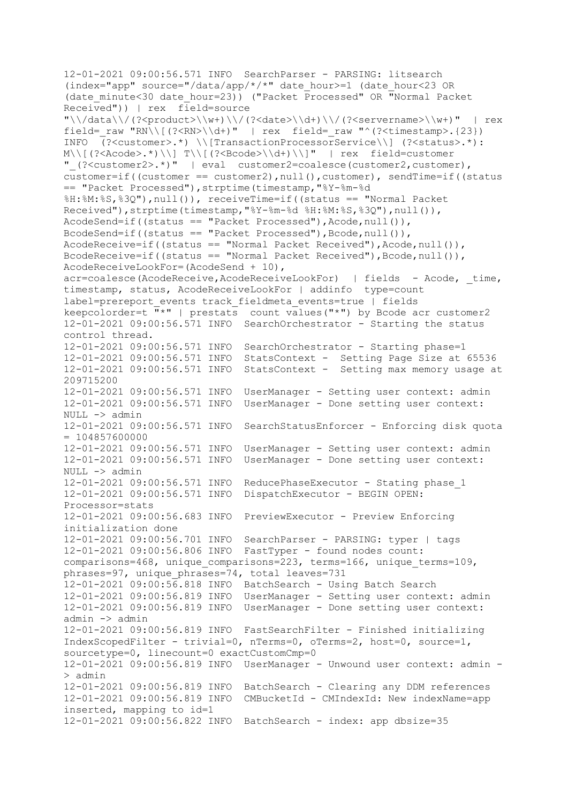12-01-2021 09:00:56.571 INFO SearchParser - PARSING: litsearch (index="app" source="/data/app/\*/\*" date\_hour>=1 (date\_hour<23 OR (date\_minute<30 date\_hour=23)) ("Packet Processed" OR "Normal Packet Received")) | rex field=source "\\/data\\/(?<product>\\w+)\\/(?<date>\\d+)\\/(?<servername>\\w+)" | rex field= raw "RN\\[(?<RN>\\d+)" | rex field= raw "^(?<timestamp>.{23}) INFO (?<customer>.\*) \\[TransactionProcessorService\\] (?<status>.\*): M\\[(?<Acode>.\*)\\] T\\[(?<Bcode>\\d+)\\]" | rex field=customer "\_(?<customer2>.\*)" | eval customer2=coalesce(customer2,customer), customer=if((customer == customer2),null(),customer), sendTime=if((status == "Packet Processed"),strptime(timestamp,"%Y-%m-%d %H:%M:%S,%3Q"),null()), receiveTime=if((status == "Normal Packet Received"), strptime(timestamp, "%Y-%m-%d %H:%M:%S, %3Q"), null()), AcodeSend=if((status == "Packet Processed"),Acode,null()), BcodeSend=if((status == "Packet Processed"),Bcode,null()), AcodeReceive=if((status == "Normal Packet Received"),Acode,null()), BcodeReceive=if((status == "Normal Packet Received"), Bcode, null()), AcodeReceiveLookFor=(AcodeSend + 10), acr=coalesce(AcodeReceive,AcodeReceiveLookFor) | fields - Acode, time, timestamp, status, AcodeReceiveLookFor | addinfo type=count label=prereport events track fieldmeta events=true | fields keepcolorder=t  $\bar{m}$ \*" | prestats count values("\*") by Bcode acr customer2 12-01-2021 09:00:56.571 INFO SearchOrchestrator - Starting the status control thread. 12-01-2021 09:00:56.571 INFO SearchOrchestrator - Starting phase=1 12-01-2021 09:00:56.571 INFO StatsContext - Setting Page Size at 65536 12-01-2021 09:00:56.571 INFO StatsContext - Setting max memory usage at 209715200 12-01-2021 09:00:56.571 INFO UserManager - Setting user context: admin 12-01-2021 09:00:56.571 INFO UserManager - Done setting user context:  $NULL$   $\rightarrow$  admin 12-01-2021 09:00:56.571 INFO SearchStatusEnforcer - Enforcing disk quota  $= 104857600000$ 12-01-2021 09:00:56.571 INFO UserManager - Setting user context: admin 12-01-2021 09:00:56.571 INFO UserManager - Done setting user context: NULL -> admin 12-01-2021 09:00:56.571 INFO ReducePhaseExecutor - Stating phase\_1 12-01-2021 09:00:56.571 INFO DispatchExecutor - BEGIN OPEN: Processor=stats 12-01-2021 09:00:56.683 INFO PreviewExecutor - Preview Enforcing initialization done 12-01-2021 09:00:56.701 INFO SearchParser - PARSING: typer | tags 12-01-2021 09:00:56.806 INFO FastTyper - found nodes count: comparisons=468, unique\_comparisons=223, terms=166, unique\_terms=109, phrases=97, unique phrases=74, total leaves=731 12-01-2021 09:00:56.818 INFO BatchSearch - Using Batch Search 12-01-2021 09:00:56.819 INFO UserManager - Setting user context: admin 12-01-2021 09:00:56.819 INFO UserManager - Done setting user context: admin -> admin 12-01-2021 09:00:56.819 INFO FastSearchFilter - Finished initializing IndexScopedFilter - trivial=0, nTerms=0, oTerms=2, host=0, source=1, sourcetype=0, linecount=0 exactCustomCmp=0 12-01-2021 09:00:56.819 INFO UserManager - Unwound user context: admin - > admin 12-01-2021 09:00:56.819 INFO BatchSearch - Clearing any DDM references 12-01-2021 09:00:56.819 INFO CMBucketId - CMIndexId: New indexName=app inserted, mapping to id=1 12-01-2021 09:00:56.822 INFO BatchSearch - index: app dbsize=35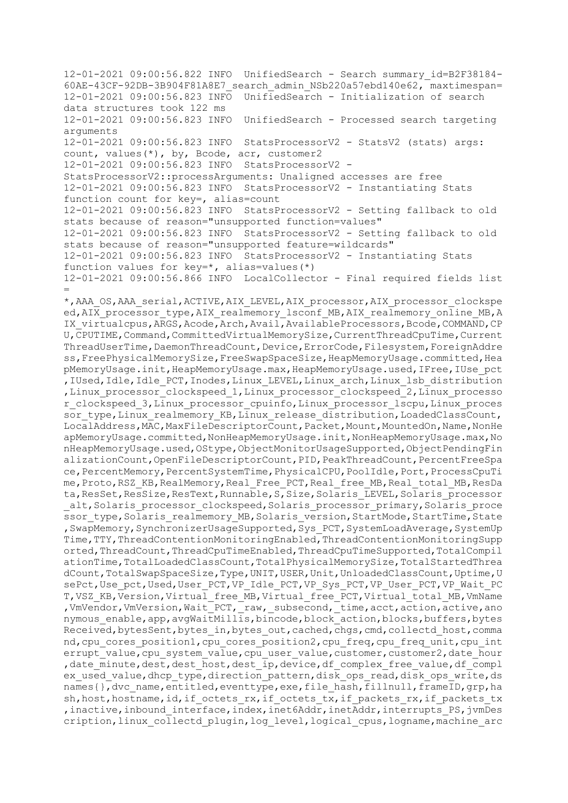12-01-2021 09:00:56.822 INFO UnifiedSearch - Search summary\_id=B2F38184- 60AE-43CF-92DB-3B904F81A8E7\_search\_admin\_NSb220a57ebd140e62, maxtimespan= 12-01-2021 09:00:56.823 INFO UnifiedSearch - Initialization of search data structures took 122 ms 12-01-2021 09:00:56.823 INFO UnifiedSearch - Processed search targeting arguments 12-01-2021 09:00:56.823 INFO StatsProcessorV2 - StatsV2 (stats) args: count, values(\*), by, Bcode, acr, customer2 12-01-2021 09:00:56.823 INFO StatsProcessorV2 - StatsProcessorV2::processArguments: Unaligned accesses are free 12-01-2021 09:00:56.823 INFO StatsProcessorV2 - Instantiating Stats function count for key=, alias=count 12-01-2021 09:00:56.823 INFO StatsProcessorV2 - Setting fallback to old stats because of reason="unsupported function=values" 12-01-2021 09:00:56.823 INFO StatsProcessorV2 - Setting fallback to old stats because of reason="unsupported feature=wildcards" 12-01-2021 09:00:56.823 INFO StatsProcessorV2 - Instantiating Stats function values for key=\*, alias=values(\*) 12-01-2021 09:00:56.866 INFO LocalCollector - Final required fields list = \*,AAA\_OS,AAA\_serial,ACTIVE,AIX\_LEVEL,AIX\_processor,AIX\_processor\_clockspe ed, AIX processor type, AIX realmemory lsconf MB, AIX realmemory online MB, A IX virtualcpus,ARGS,Acode,Arch,Avail,AvailableProcessors,Bcode,COMMAND,CP U,CPUTIME,Command,CommittedVirtualMemorySize,CurrentThreadCpuTime,Current ThreadUserTime, DaemonThreadCount, Device, ErrorCode, Filesystem, ForeignAddre ss,FreePhysicalMemorySize,FreeSwapSpaceSize,HeapMemoryUsage.committed,Hea pMemoryUsage.init,HeapMemoryUsage.max,HeapMemoryUsage.used,IFree,IUse\_pct , IUsed, Idle, Idle PCT, Inodes, Linux LEVEL, Linux arch, Linux 1sb distribution , Linux processor clockspeed 1, Linux processor clockspeed 2, Linux processo r\_clockspeed\_3,Linux\_processor\_cpuinfo,Linux\_processor\_lscpu,Linux\_proces sor type, Linux realmemory KB, Linux release distribution, LoadedClassCount, LocalAddress, MAC, MaxFileDescriptorCount, Packet, Mount, MountedOn, Name, NonHe apMemoryUsage.committed,NonHeapMemoryUsage.init,NonHeapMemoryUsage.max,No nHeapMemoryUsage.used,OStype,ObjectMonitorUsageSupported,ObjectPendingFin alizationCount, OpenFileDescriptorCount, PID, PeakThreadCount, PercentFreeSpa ce, PercentMemory, PercentSystemTime, PhysicalCPU, PoolIdle, Port, ProcessCpuTi me, Proto, RSZ\_KB, RealMemory, Real Free PCT, Real free MB, Real total MB, ResDa ta, ResSet, ResSize, ResText, Runnable, S, Size, Solaris LEVEL, Solaris processor alt, Solaris\_processor\_clockspeed, Solaris\_processor\_primary, Solaris\_proce ssor\_type,Solaris\_realmemory\_MB,Solaris\_version,StartMode,StartTime,State , SwapMemory, SynchronizerUsageSupported, Sys PCT, SystemLoadAverage, SystemUp Time, TTY, ThreadContentionMonitoringEnabled, ThreadContentionMonitoringSupp orted,ThreadCount,ThreadCpuTimeEnabled,ThreadCpuTimeSupported,TotalCompil ationTime,TotalLoadedClassCount,TotalPhysicalMemorySize,TotalStartedThrea dCount, TotalSwapSpaceSize, Type, UNIT, USER, Unit, UnloadedClassCount, Uptime, U sePct, Use pct, Used, User PCT, VP\_Idle\_PCT, VP\_Sys\_PCT, VP\_User\_PCT, VP\_Wait\_PC T,VSZ\_KB,Version,Virtual\_free\_MB,Virtual\_free\_PCT,Virtual\_total\_MB,VmName ,VmVendor,VmVersion,Wait\_PCT,\_raw,\_subsecond,\_time,acct,action,active,ano nymous enable, app, avgWaitMillis, bincode, block action, blocks, buffers, bytes Received, bytesSent, bytes\_in, bytes\_out, cached, chgs, cmd, collectd\_host, comma nd, cpu cores position1, cpu cores position2, cpu freq, cpu freq unit, cpu int errupt value, cpu system value, cpu user value, customer, customer2, date hour , date minute, dest, dest host, dest ip, device, df complex free value, df compl ex used value, dhcp type, direction pattern, disk ops read, disk ops write, ds names{},dvc\_name,entitled,eventtype,exe,file\_hash,fillnull,frameID,qrp,ha sh, host, hostname, id, if octets rx, if octets tx, if packets rx, if packets tx , inactive, inbound interface, index, inet6Addr, inetAddr, interrupts PS, jvmDes cription, linux collectd plugin, log level, logical cpus, logname, machine arc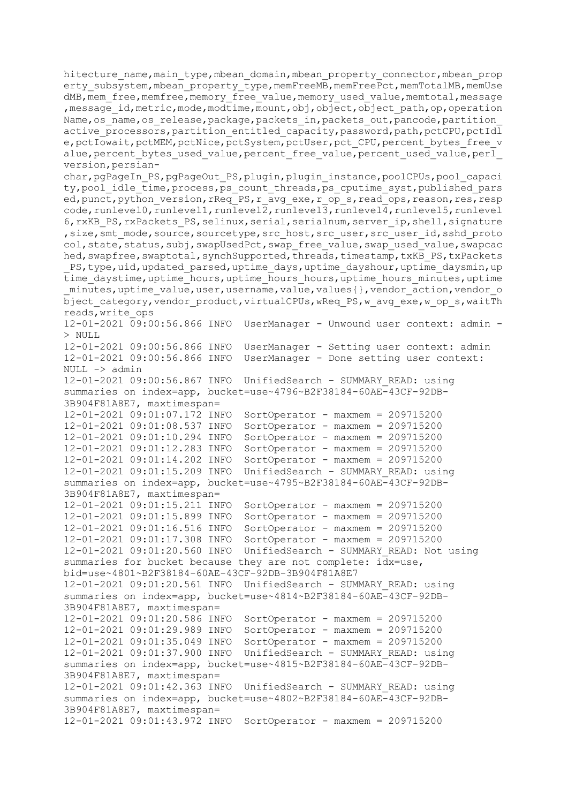hitecture name, main type, mbean domain, mbean property connector, mbean prop erty\_subsystem,mbean\_property\_type,memFreeMB,memFreePct,memTotalMB,memUse dMB, mem free, memfree, memory free value, memory used value, memtotal, message , message id, metric, mode, modtime, mount, obj, object, object path, op, operation Name, os name, os release, package, packets in, packets out, pancode, partition active processors, partition entitled capacity, password, path, pctCPU, pctIdl e, pctIowait, pctMEM, pctNice, pctSystem, pctUser, pct CPU, percent bytes free v alue, percent bytes used value, percent free value, percent used value, perl version,persian-

char, pgPageIn\_PS, pgPageOut\_PS, plugin, plugin\_instance, poolCPUs, pool\_capaci ty, pool idle time, process, ps count threads, ps cputime syst, published pars ed,punct,python\_version,rReq\_PS,r\_avg\_exe,r\_op\_s,read\_ops,reason,res,resp code, runlevel0, runlevel1, runlevel2, runlevel3, runlevel4, runlevel5, runlevel 6, rxKB PS, rxPackets PS, selinux, serial, serialnum, server ip, shell, signature ,size,smt\_mode,source,sourcetype,src\_host,src\_user,src\_user\_id,sshd\_proto col, state, status, subj, swapUsedPct, swap\_free\_value, swap\_used\_value, swapcac hed, swapfree, swaptotal, synchSupported, threads, timestamp, txKB PS, txPackets PS, type, uid, updated parsed, uptime days, uptime dayshour, uptime daysmin, up time\_daystime,uptime\_hours,uptime\_hours\_hours,uptime\_hours\_minutes,uptime minutes, uptime value, user, username, value, values{}, vendor action, vendor o bject category, vendor product, virtualCPUs, wReq PS, w avg exe, w op s, waitTh reads,write\_ops

12-01-2021 09:00:56.866 INFO UserManager - Unwound user context: admin - > NULL 12-01-2021 09:00:56.866 INFO UserManager - Setting user context: admin 12-01-2021 09:00:56.866 INFO UserManager - Done setting user context: NULL -> admin 12-01-2021 09:00:56.867 INFO UnifiedSearch - SUMMARY\_READ: using summaries on index=app, bucket=use~4796~B2F38184-60AE-43CF-92DB-3B904F81A8E7, maxtimespan= 12-01-2021 09:01:07.172 INFO SortOperator - maxmem = 209715200 12-01-2021 09:01:08.537 INFO SortOperator - maxmem = 209715200 12-01-2021 09:01:10.294 INFO SortOperator - maxmem = 209715200 12-01-2021 09:01:12.283 INFO SortOperator - maxmem = 209715200 12-01-2021 09:01:14.202 INFO SortOperator - maxmem = 209715200 12-01-2021 09:01:15.209 INFO UnifiedSearch - SUMMARY\_READ: using summaries on index=app, bucket=use~4795~B2F38184-60AE-43CF-92DB-3B904F81A8E7, maxtimespan= 12-01-2021 09:01:15.211 INFO SortOperator - maxmem = 209715200 12-01-2021 09:01:15.899 INFO SortOperator - maxmem = 209715200 12-01-2021 09:01:16.516 INFO SortOperator - maxmem = 209715200 12-01-2021 09:01:17.308 INFO SortOperator - maxmem = 209715200 12-01-2021 09:01:20.560 INFO UnifiedSearch - SUMMARY\_READ: Not using summaries for bucket because they are not complete: idx=use, bid=use~4801~B2F38184-60AE-43CF-92DB-3B904F81A8E7 12-01-2021 09:01:20.561 INFO UnifiedSearch - SUMMARY\_READ: using summaries on index=app, bucket=use~4814~B2F38184-60AE-43CF-92DB-3B904F81A8E7, maxtimespan= 12-01-2021 09:01:20.586 INFO SortOperator - maxmem = 209715200 12-01-2021 09:01:29.989 INFO SortOperator - maxmem = 209715200 12-01-2021 09:01:35.049 INFO SortOperator - maxmem = 209715200 12-01-2021 09:01:37.900 INFO UnifiedSearch - SUMMARY\_READ: using summaries on index=app, bucket=use~4815~B2F38184-60AE-43CF-92DB-3B904F81A8E7, maxtimespan= 12-01-2021 09:01:42.363 INFO UnifiedSearch - SUMMARY\_READ: using summaries on index=app, bucket=use~4802~B2F38184-60AE-43CF-92DB-3B904F81A8E7, maxtimespan= 12-01-2021 09:01:43.972 INFO SortOperator - maxmem = 209715200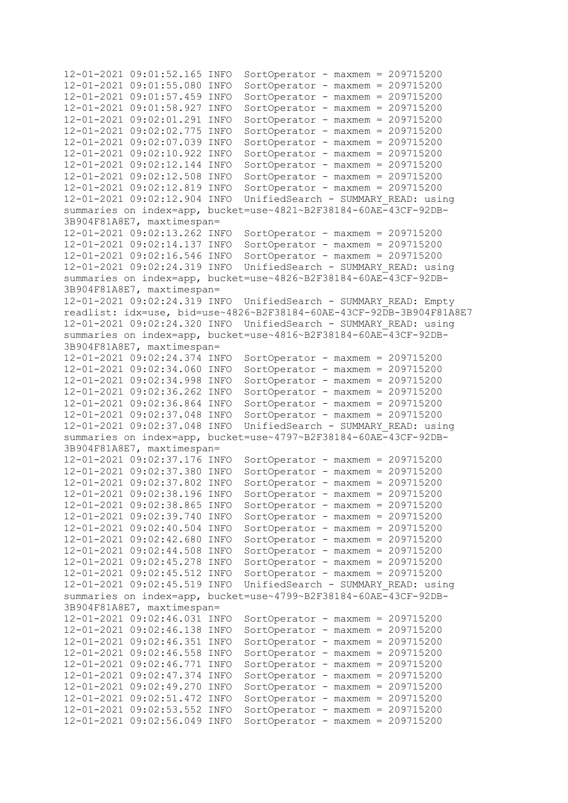```
12-01-2021 09:01:52.165 INFO SortOperator - maxmem = 209715200
12-01-2021 09:01:55.080 INFO SortOperator - maxmem = 209715200
12-01-2021 09:01:57.459 INFO SortOperator - maxmem = 209715200
12-01-2021 09:01:58.927 INFO SortOperator - maxmem = 209715200
12-01-2021 09:02:01.291 INFO SortOperator - maxmem = 209715200
12-01-2021 09:02:02.775 INFO SortOperator - maxmem = 209715200
12-01-2021 09:02:07.039 INFO SortOperator - maxmem = 209715200
12-01-2021 09:02:10.922 INFO SortOperator - maxmem = 209715200
12-01-2021 09:02:12.144 INFO SortOperator - maxmem = 209715200
12-01-2021 09:02:12.508 INFO SortOperator - maxmem = 209715200
12-01-2021 09:02:12.819 INFO SortOperator - maxmem = 209715200
12-01-2021 09:02:12.904 INFO UnifiedSearch - SUMMARY_READ: using 
summaries on index=app, bucket=use~4821~B2F38184-60AE-43CF-92DB-
3B904F81A8E7, maxtimespan=
12-01-2021 09:02:13.262 INFO SortOperator - maxmem = 209715200
12-01-2021 09:02:14.137 INFO SortOperator - maxmem = 209715200
12-01-2021 09:02:16.546 INFO SortOperator - maxmem = 209715200
12-01-2021 09:02:24.319 INFO UnifiedSearch - SUMMARY_READ: using 
summaries on index=app, bucket=use~4826~B2F38184-60AE-43CF-92DB-
3B904F81A8E7, maxtimespan=
12-01-2021 09:02:24.319 INFO UnifiedSearch - SUMMARY_READ: Empty 
readlist: idx=use, bid=use~4826~B2F38184-60AE-43CF-92DB-3B904F81A8E7
12-01-2021 09:02:24.320 INFO UnifiedSearch - SUMMARY_READ: using 
summaries on index=app, bucket=use~4816~B2F38184-60AE-43CF-92DB-
3B904F81A8E7, maxtimespan=
12-01-2021 09:02:24.374 INFO SortOperator - maxmem = 209715200
12-01-2021 09:02:34.060 INFO SortOperator - maxmem = 209715200
12-01-2021 09:02:34.998 INFO SortOperator - maxmem = 209715200
12-01-2021 09:02:36.262 INFO SortOperator - maxmem = 209715200
12-01-2021 09:02:36.864 INFO SortOperator - maxmem = 209715200
12-01-2021 09:02:37.048 INFO SortOperator - maxmem = 209715200
12-01-2021 09:02:37.048 INFO UnifiedSearch - SUMMARY_READ: using 
summaries on index=app, bucket=use~4797~B2F38184-60AE-43CF-92DB-
3B904F81A8E7, maxtimespan=
12-01-2021 09:02:37.176 INFO SortOperator - maxmem = 209715200
12-01-2021 09:02:37.380 INFO SortOperator - maxmem = 209715200
12-01-2021 09:02:37.802 INFO SortOperator - maxmem = 209715200
12-01-2021 09:02:38.196 INFO SortOperator - maxmem = 209715200
12-01-2021 09:02:38.865 INFO SortOperator - maxmem = 209715200
12-01-2021 09:02:39.740 INFO SortOperator - maxmem = 209715200
12-01-2021 09:02:40.504 INFO SortOperator - maxmem = 209715200
12-01-2021 09:02:42.680 INFO SortOperator - maxmem = 209715200
12-01-2021 09:02:44.508 INFO SortOperator - maxmem = 209715200
12-01-2021 09:02:45.278 INFO SortOperator - maxmem = 209715200
12-01-2021 09:02:45.512 INFO SortOperator - maxmem = 209715200
12-01-2021 09:02:45.519 INFO UnifiedSearch - SUMMARY_READ: using 
summaries on index=app, bucket=use~4799~B2F38184-60AE-43CF-92DB-
3B904F81A8E7, maxtimespan=
12-01-2021 09:02:46.031 INFO SortOperator - maxmem = 209715200
12-01-2021 09:02:46.138 INFO SortOperator - maxmem = 209715200
12-01-2021 09:02:46.351 INFO SortOperator - maxmem = 209715200
12-01-2021 09:02:46.558 INFO SortOperator - maxmem = 209715200
12-01-2021 09:02:46.771 INFO SortOperator - maxmem = 209715200
12-01-2021 09:02:47.374 INFO SortOperator - maxmem = 209715200
12-01-2021 09:02:49.270 INFO SortOperator - maxmem = 209715200
12-01-2021 09:02:51.472 INFO SortOperator - maxmem = 209715200
12-01-2021 09:02:53.552 INFO SortOperator - maxmem = 209715200
12-01-2021 09:02:56.049 INFO SortOperator - maxmem = 209715200
```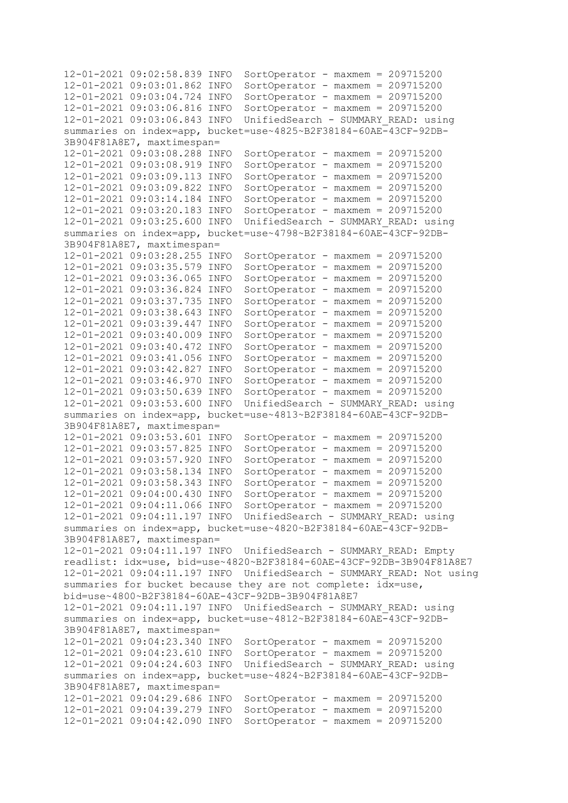```
12-01-2021 09:02:58.839 INFO SortOperator - maxmem = 209715200
12-01-2021 09:03:01.862 INFO SortOperator - maxmem = 209715200
12-01-2021 09:03:04.724 INFO SortOperator - maxmem = 209715200
12-01-2021 09:03:06.816 INFO SortOperator - maxmem = 209715200
12-01-2021 09:03:06.843 INFO UnifiedSearch - SUMMARY_READ: using 
summaries on index=app, bucket=use~4825~B2F38184-60AE-43CF-92DB-
3B904F81A8E7, maxtimespan=
12-01-2021 09:03:08.288 INFO SortOperator - maxmem = 209715200
12-01-2021 09:03:08.919 INFO SortOperator - maxmem = 209715200
12-01-2021 09:03:09.113 INFO SortOperator - maxmem = 209715200
12-01-2021 09:03:09.822 INFO SortOperator - maxmem = 209715200
12-01-2021 09:03:14.184 INFO SortOperator - maxmem = 209715200
12-01-2021 09:03:20.183 INFO SortOperator - maxmem = 209715200
12-01-2021 09:03:25.600 INFO UnifiedSearch - SUMMARY_READ: using 
summaries on index=app, bucket=use~4798~B2F38184-60AE-43CF-92DB-
3B904F81A8E7, maxtimespan=
12-01-2021 09:03:28.255 INFO SortOperator - maxmem = 209715200
12-01-2021 09:03:35.579 INFO SortOperator - maxmem = 209715200
12-01-2021 09:03:36.065 INFO SortOperator - maxmem = 209715200
12-01-2021 09:03:36.824 INFO SortOperator - maxmem = 209715200
12-01-2021 09:03:37.735 INFO SortOperator - maxmem = 209715200
12-01-2021 09:03:38.643 INFO SortOperator - maxmem = 209715200
12-01-2021 09:03:39.447 INFO SortOperator - maxmem = 209715200
12-01-2021 09:03:40.009 INFO SortOperator - maxmem = 209715200
12-01-2021 09:03:40.472 INFO SortOperator - maxmem = 209715200
12-01-2021 09:03:41.056 INFO SortOperator - maxmem = 209715200
12-01-2021 09:03:42.827 INFO SortOperator - maxmem = 209715200
12-01-2021 09:03:46.970 INFO SortOperator - maxmem = 209715200
12-01-2021 09:03:50.639 INFO SortOperator - maxmem = 209715200
12-01-2021 09:03:53.600 INFO UnifiedSearch - SUMMARY_READ: using 
summaries on index=app, bucket=use~4813~B2F38184-60AE-43CF-92DB-
3B904F81A8E7, maxtimespan=
12-01-2021 09:03:53.601 INFO SortOperator - maxmem = 209715200
12-01-2021 09:03:57.825 INFO SortOperator - maxmem = 209715200
12-01-2021 09:03:57.920 INFO SortOperator - maxmem = 209715200
12-01-2021 09:03:58.134 INFO SortOperator - maxmem = 209715200
12-01-2021 09:03:58.343 INFO SortOperator - maxmem = 209715200
12-01-2021 09:04:00.430 INFO SortOperator - maxmem = 209715200
12-01-2021 09:04:11.066 INFO SortOperator - maxmem = 209715200
12-01-2021 09:04:11.197 INFO UnifiedSearch - SUMMARY_READ: using 
summaries on index=app, bucket=use~4820~B2F38184-60AE-43CF-92DB-
3B904F81A8E7, maxtimespan=
12-01-2021 09:04:11.197 INFO UnifiedSearch - SUMMARY_READ: Empty 
readlist: idx=use, bid=use~4820~B2F38184-60AE-43CF-92DB-3B904F81A8E7
12-01-2021 09:04:11.197 INFO UnifiedSearch - SUMMARY_READ: Not using 
summaries for bucket because they are not complete: i\overline{dx}=use,
bid=use~4800~B2F38184-60AE-43CF-92DB-3B904F81A8E7
12-01-2021 09:04:11.197 INFO UnifiedSearch - SUMMARY_READ: using 
summaries on index=app, bucket=use~4812~B2F38184-60AE-43CF-92DB-
3B904F81A8E7, maxtimespan=
12-01-2021 09:04:23.340 INFO SortOperator - maxmem = 209715200
12-01-2021 09:04:23.610 INFO SortOperator - maxmem = 209715200
12-01-2021 09:04:24.603 INFO UnifiedSearch - SUMMARY_READ: using 
summaries on index=app, bucket=use~4824~B2F38184-60AE-43CF-92DB-
3B904F81A8E7, maxtimespan=
12-01-2021 09:04:29.686 INFO SortOperator - maxmem = 209715200
12-01-2021 09:04:39.279 INFO SortOperator - maxmem = 209715200
12-01-2021 09:04:42.090 INFO SortOperator - maxmem = 209715200
```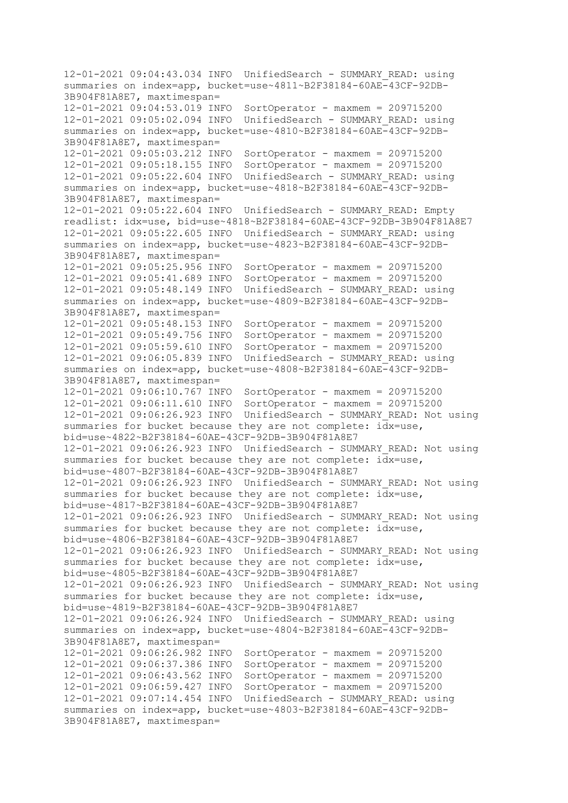12-01-2021 09:04:43.034 INFO UnifiedSearch - SUMMARY\_READ: using summaries on index=app, bucket=use~4811~B2F38184-60AE-43CF-92DB-3B904F81A8E7, maxtimespan= 12-01-2021 09:04:53.019 INFO SortOperator - maxmem = 209715200 12-01-2021 09:05:02.094 INFO UnifiedSearch - SUMMARY\_READ: using summaries on index=app, bucket=use~4810~B2F38184-60AE-43CF-92DB-3B904F81A8E7, maxtimespan= 12-01-2021 09:05:03.212 INFO SortOperator - maxmem = 209715200 12-01-2021 09:05:18.155 INFO SortOperator - maxmem = 209715200 12-01-2021 09:05:22.604 INFO UnifiedSearch - SUMMARY\_READ: using summaries on index=app, bucket=use~4818~B2F38184-60AE-43CF-92DB-3B904F81A8E7, maxtimespan= 12-01-2021 09:05:22.604 INFO UnifiedSearch - SUMMARY\_READ: Empty readlist: idx=use, bid=use~4818~B2F38184-60AE-43CF-92DB-3B904F81A8E7 12-01-2021 09:05:22.605 INFO UnifiedSearch - SUMMARY\_READ: using summaries on index=app, bucket=use~4823~B2F38184-60AE-43CF-92DB-3B904F81A8E7, maxtimespan= 12-01-2021 09:05:25.956 INFO SortOperator - maxmem = 209715200 12-01-2021 09:05:41.689 INFO SortOperator - maxmem = 209715200 12-01-2021 09:05:48.149 INFO UnifiedSearch - SUMMARY\_READ: using summaries on index=app, bucket=use~4809~B2F38184-60AE-43CF-92DB-3B904F81A8E7, maxtimespan= 12-01-2021 09:05:48.153 INFO SortOperator - maxmem = 209715200 12-01-2021 09:05:49.756 INFO SortOperator - maxmem = 209715200 12-01-2021 09:05:59.610 INFO SortOperator - maxmem = 209715200 12-01-2021 09:06:05.839 INFO UnifiedSearch - SUMMARY\_READ: using summaries on index=app, bucket=use~4808~B2F38184-60AE-43CF-92DB-3B904F81A8E7, maxtimespan= 12-01-2021 09:06:10.767 INFO SortOperator - maxmem = 209715200 12-01-2021 09:06:11.610 INFO SortOperator - maxmem = 209715200 12-01-2021 09:06:26.923 INFO UnifiedSearch - SUMMARY\_READ: Not using summaries for bucket because they are not complete:  $i\overline{dx}$ =use, bid=use~4822~B2F38184-60AE-43CF-92DB-3B904F81A8E7 12-01-2021 09:06:26.923 INFO UnifiedSearch - SUMMARY\_READ: Not using summaries for bucket because they are not complete: idx=use, bid=use~4807~B2F38184-60AE-43CF-92DB-3B904F81A8E7 12-01-2021 09:06:26.923 INFO UnifiedSearch - SUMMARY\_READ: Not using summaries for bucket because they are not complete: idx=use, bid=use~4817~B2F38184-60AE-43CF-92DB-3B904F81A8E7 12-01-2021 09:06:26.923 INFO UnifiedSearch - SUMMARY\_READ: Not using summaries for bucket because they are not complete:  $idx = use$ , bid=use~4806~B2F38184-60AE-43CF-92DB-3B904F81A8E7 12-01-2021 09:06:26.923 INFO UnifiedSearch - SUMMARY\_READ: Not using summaries for bucket because they are not complete: idx=use, bid=use~4805~B2F38184-60AE-43CF-92DB-3B904F81A8E7 12-01-2021 09:06:26.923 INFO UnifiedSearch - SUMMARY\_READ: Not using summaries for bucket because they are not complete: idx=use, bid=use~4819~B2F38184-60AE-43CF-92DB-3B904F81A8E7 12-01-2021 09:06:26.924 INFO UnifiedSearch - SUMMARY\_READ: using summaries on index=app, bucket=use~4804~B2F38184-60AE-43CF-92DB-3B904F81A8E7, maxtimespan= 12-01-2021 09:06:26.982 INFO SortOperator - maxmem = 209715200 12-01-2021 09:06:37.386 INFO SortOperator - maxmem = 209715200 12-01-2021 09:06:43.562 INFO SortOperator - maxmem = 209715200 12-01-2021 09:06:59.427 INFO SortOperator - maxmem = 209715200 12-01-2021 09:07:14.454 INFO UnifiedSearch - SUMMARY\_READ: using summaries on index=app, bucket=use~4803~B2F38184-60AE-43CF-92DB-3B904F81A8E7, maxtimespan=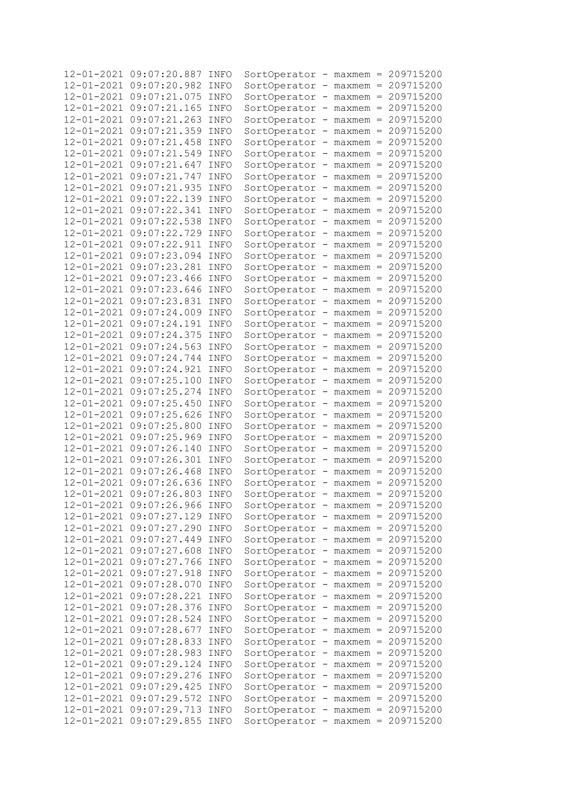| $12 - 01 - 2021$ | 09:07:20.887                 | INFO | SortOperator - maxmem = 209715200   |                          |                |                                     |                       |
|------------------|------------------------------|------|-------------------------------------|--------------------------|----------------|-------------------------------------|-----------------------|
| $12 - 01 - 2021$ | 09:07:20.982                 | INFO | SortOperator                        |                          |                |                                     | $maxmem = 209715200$  |
| $12 - 01 - 2021$ | 09:07:21.075                 | INFO | SortOperator                        |                          |                |                                     | $maxmem = 209715200$  |
| $12 - 01 - 2021$ | 09:07:21.165                 | INFO | SortOperator                        |                          |                |                                     | $maxmem = 209715200$  |
| $12 - 01 - 2021$ | 09:07:21.263                 | INFO | SortOperator                        | -                        |                |                                     | $maxmem = 209715200$  |
| $12 - 01 - 2021$ | 09:07:21.359                 | INFO | SortOperator                        | -                        |                |                                     | $maxmem = 209715200$  |
| $12 - 01 - 2021$ | 09:07:21.458                 | INFO | SortOperator                        | -                        |                |                                     | $maxmem = 209715200$  |
| $12 - 01 - 2021$ | 09:07:21.549                 | INFO | SortOperator                        |                          |                |                                     | $-maxmem = 209715200$ |
| $12 - 01 - 2021$ | 09:07:21.647                 | INFO |                                     |                          |                |                                     | $-maxmem = 209715200$ |
|                  |                              |      | SortOperator                        |                          |                |                                     |                       |
| $12 - 01 - 2021$ | 09:07:21.747                 | INFO | SortOperator                        |                          |                |                                     | $-maxmem = 209715200$ |
| $12 - 01 - 2021$ | 09:07:21.935                 | INFO | SortOperator                        |                          | $-$ maxmem $=$ |                                     | 209715200             |
| $12 - 01 - 2021$ | 09:07:22.139                 | INFO | SortOperator                        |                          | $-$ maxmem $=$ |                                     | 209715200             |
| $12 - 01 - 2021$ | 09:07:22.341                 | INFO | SortOperator                        |                          | $-$ maxmem $=$ |                                     | 209715200             |
| $12 - 01 - 2021$ | 09:07:22.538                 | INFO | SortOperator                        |                          | $-$ maxmem $=$ |                                     | 209715200             |
| $12 - 01 - 2021$ | 09:07:22.729                 | INFO | SortOperator                        |                          |                |                                     | $-maxmem = 209715200$ |
| $12 - 01 - 2021$ | 09:07:22.911                 | INFO | SortOperator                        |                          |                |                                     | $-maxmem = 209715200$ |
| $12 - 01 - 2021$ | 09:07:23.094                 | INFO | SortOperator                        |                          |                |                                     | $maxmem = 209715200$  |
| $12 - 01 - 2021$ | 09:07:23.281                 | INFO | SortOperator                        |                          | $maxmem =$     |                                     | 209715200             |
| $12 - 01 - 2021$ | 09:07:23.466                 | INFO |                                     |                          | $maxmem =$     |                                     | 209715200             |
|                  |                              |      | SortOperator                        |                          |                |                                     |                       |
| $12 - 01 - 2021$ | 09:07:23.646                 | INFO | SortOperator                        | −.                       |                |                                     | $maxmem = 209715200$  |
| $12 - 01 - 2021$ | 09:07:23.831                 | INFO | SortOperator                        | −.                       | $maxmem =$     |                                     | 209715200             |
| $12 - 01 - 2021$ | 09:07:24.009                 | INFO | SortOperator                        |                          | $maxmem =$     |                                     | 209715200             |
| $12 - 01 - 2021$ | 09:07:24.191                 | INFO | SortOperator                        |                          | $maxmem =$     |                                     | 209715200             |
| $12 - 01 - 2021$ | 09:07:24.375                 | INFO | SortOperator                        |                          | $maxmem =$     |                                     | 209715200             |
| $12 - 01 - 2021$ | 09:07:24.563                 | INFO | SortOperator                        |                          | $maxmem =$     |                                     | 209715200             |
| $12 - 01 - 2021$ | 09:07:24.744                 | INFO | SortOperator                        |                          | $maxmem =$     |                                     | 209715200             |
| $12 - 01 - 2021$ | 09:07:24.921                 | INFO | SortOperator                        | -                        | $maxmem =$     |                                     | 209715200             |
| $12 - 01 - 2021$ | 09:07:25.100                 | INFO | SortOperator                        |                          | $maxmem =$     |                                     | 209715200             |
| $12 - 01 - 2021$ | 09:07:25.274                 | INFO | SortOperator                        | -                        | $maxmem =$     |                                     | 209715200             |
| $12 - 01 - 2021$ | 09:07:25.450                 | INFO | SortOperator                        |                          | $maxmem =$     |                                     | 209715200             |
| $12 - 01 - 2021$ | 09:07:25.626                 | INFO |                                     |                          |                |                                     | 209715200             |
|                  |                              |      | SortOperator                        |                          | $maxmem =$     |                                     |                       |
| $12 - 01 - 2021$ | 09:07:25.800                 | INFO | SortOperator                        |                          | $maxmem =$     |                                     | 209715200             |
| $12 - 01 - 2021$ | 09:07:25.969                 | INFO | SortOperator                        |                          | $maxmem =$     |                                     | 209715200             |
| $12 - 01 - 2021$ | 09:07:26.140                 | INFO | SortOperator                        |                          | maxmem         | $=$                                 | 209715200             |
| $12 - 01 - 2021$ | 09:07:26.301                 | INFO | SortOperator                        |                          | maxmem         | $\hspace*{0.4em} = \hspace*{0.4em}$ | 209715200             |
| $12 - 01 - 2021$ | 09:07:26.468                 | INFO | SortOperator                        |                          | $maxmem =$     |                                     | 209715200             |
| $12 - 01 - 2021$ | 09:07:26.636                 | INFO | SortOperator                        |                          | $maxmem =$     |                                     | 209715200             |
|                  | 12-01-2021 09:07:26.803 INFO |      | SortOperator - maxmem = 209715200   |                          |                |                                     |                       |
|                  | 12-01-2021 09:07:26.966      | INFO | SortOperator                        |                          |                |                                     | $maxmem = 209715200$  |
|                  | 12-01-2021 09:07:27.129      | INFO | SortOperator                        |                          |                |                                     | $maxmem = 209715200$  |
|                  | 12-01-2021 09:07:27.290      | INFO | SortOperator                        |                          |                |                                     | $maxmem = 209715200$  |
| 12-01-2021       | 09:07:27.449                 | INFO | SortOperator                        |                          |                |                                     | $maxmem = 209715200$  |
| $12 - 01 - 2021$ | 09:07:27.608                 | INFO | SortOperator                        |                          |                |                                     | $maxmem = 209715200$  |
| $12 - 01 - 2021$ | 09:07:27.766                 |      |                                     |                          |                |                                     | $maxmem = 209715200$  |
|                  |                              | INFO | SortOperator                        |                          |                |                                     |                       |
| $12 - 01 - 2021$ | 09:07:27.918                 | INFO | SortOperator                        |                          |                |                                     | $maxmem = 209715200$  |
| $12 - 01 - 2021$ | 09:07:28.070                 | INFO | SortOperator                        |                          |                |                                     | $maxmem = 209715200$  |
| $12 - 01 - 2021$ | 09:07:28.221                 | INFO | SortOperator                        |                          |                |                                     | $maxmem = 209715200$  |
| $12 - 01 - 2021$ | 09:07:28.376                 | INFO | SortOperator                        |                          |                |                                     | $maxmem = 209715200$  |
| $12 - 01 - 2021$ | 09:07:28.524                 | INFO | SortOperator                        |                          |                |                                     | $maxmem = 209715200$  |
| $12 - 01 - 2021$ | 09:07:28.677                 | INFO | SortOperator                        |                          |                |                                     | $maxmem = 209715200$  |
| $12 - 01 - 2021$ | 09:07:28.833                 | INFO | SortOperator                        |                          |                |                                     | $maxmem = 209715200$  |
| $12 - 01 - 2021$ | 09:07:28.983                 | INFO | SortOperator                        |                          |                |                                     | $maxmem = 209715200$  |
| $12 - 01 - 2021$ | 09:07:29.124                 | INFO | SortOperator                        |                          |                |                                     | $maxmem = 209715200$  |
| $12 - 01 - 2021$ | 09:07:29.276                 | INFO | SortOperator                        |                          |                |                                     | $maxmem = 209715200$  |
| $12 - 01 - 2021$ | 09:07:29.425                 | INFO | SortOperator                        |                          |                |                                     | $maxmem = 209715200$  |
| $12 - 01 - 2021$ | 09:07:29.572                 | INFO | SortOperator                        |                          |                |                                     | $maxmem = 209715200$  |
| $12 - 01 - 2021$ | 09:07:29.713                 | INFO | SortOperator                        |                          |                |                                     | $maxmem = 209715200$  |
|                  |                              |      |                                     | $\overline{\phantom{0}}$ |                |                                     |                       |
|                  | 12-01-2021 09:07:29.855      | INFO | SortOperator - maxmem = $209715200$ |                          |                |                                     |                       |